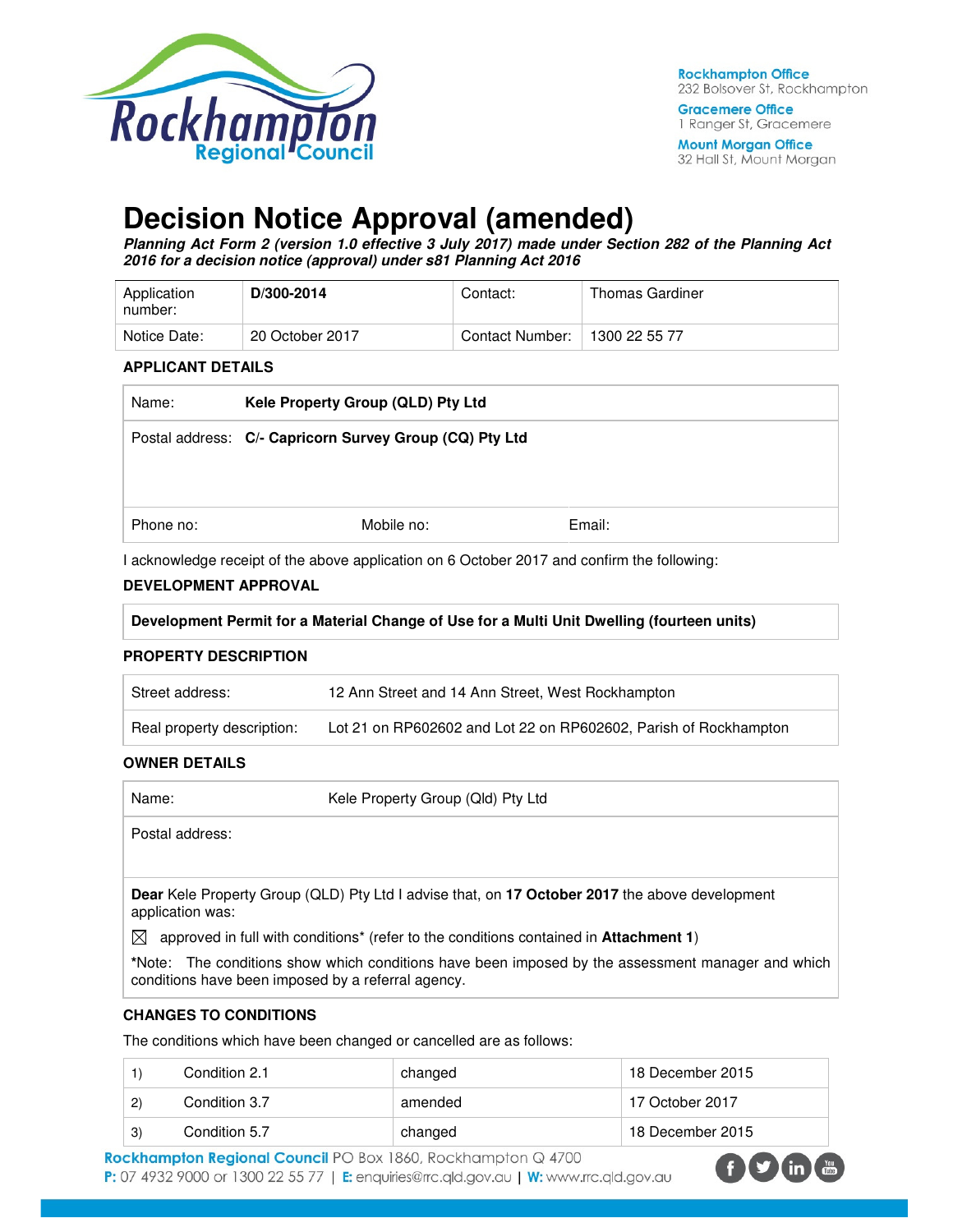

32 Hall St, Mount Morgan

# **Decision Notice Approval (amended)**

**Planning Act Form 2 (version 1.0 effective 3 July 2017) made under Section 282 of the Planning Act 2016 for a decision notice (approval) under s81 Planning Act 2016** 

| Application<br>number: | D/300-2014      | Contact:        | <b>Thomas Gardiner</b> |
|------------------------|-----------------|-----------------|------------------------|
| Notice Date:           | 20 October 2017 | Contact Number: | 1300 22 55 77          |

#### **APPLICANT DETAILS**

| Name:     | Kele Property Group (QLD) Pty Ltd                       |        |
|-----------|---------------------------------------------------------|--------|
|           | Postal address: C/- Capricorn Survey Group (CQ) Pty Ltd |        |
|           |                                                         |        |
|           |                                                         |        |
| Phone no: | Mobile no:                                              | Email: |
|           |                                                         |        |

I acknowledge receipt of the above application on 6 October 2017 and confirm the following:

### **DEVELOPMENT APPROVAL**

**Development Permit for a Material Change of Use for a Multi Unit Dwelling (fourteen units)** 

#### **PROPERTY DESCRIPTION**

| Street address:            | 12 Ann Street and 14 Ann Street, West Rockhampton                |
|----------------------------|------------------------------------------------------------------|
| Real property description: | Lot 21 on RP602602 and Lot 22 on RP602602, Parish of Rockhampton |

#### **OWNER DETAILS**

| Name:           | Kele Property Group (Qld) Pty Ltd |  |
|-----------------|-----------------------------------|--|
| Postal address: |                                   |  |

**Dear** Kele Property Group (QLD) Pty Ltd I advise that, on **17 October 2017** the above development application was:

 $\boxtimes$  approved in full with conditions<sup>\*</sup> (refer to the conditions contained in **Attachment 1**)

**\***Note:The conditions show which conditions have been imposed by the assessment manager and which conditions have been imposed by a referral agency.

### **CHANGES TO CONDITIONS**

The conditions which have been changed or cancelled are as follows:

|     | Condition 2.1 | changed | 18 December 2015 |
|-----|---------------|---------|------------------|
| -2) | Condition 3.7 | amended | 17 October 2017  |
| 3)  | Condition 5.7 | changed | 18 December 2015 |

Rockhampton Regional Council PO Box 1860, Rockhampton Q 4700 P: 07 4932 9000 or 1300 22 55 77 | E: enquiries@rrc.qld.gov.au | W: www.rrc.qld.gov.au

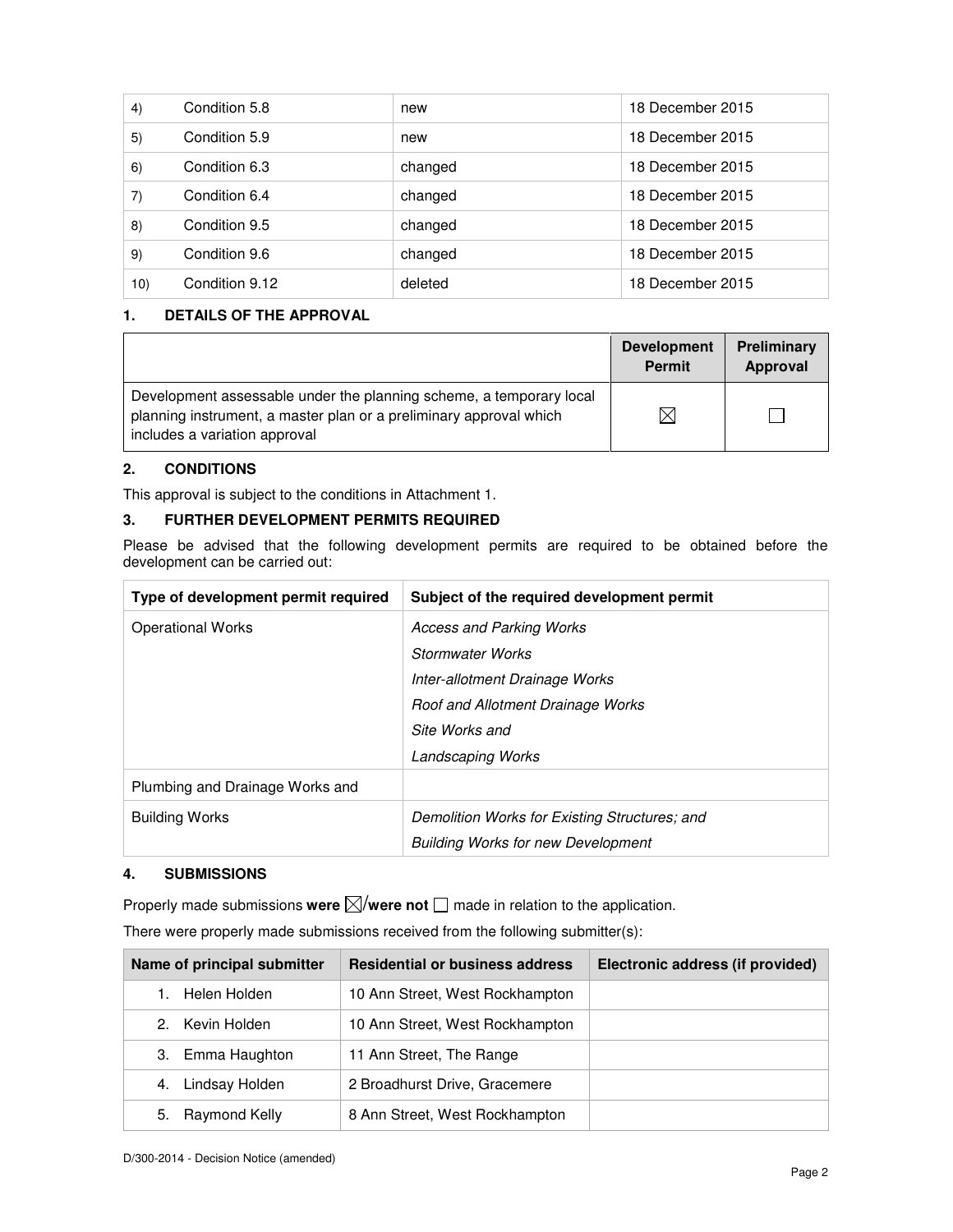| 4)  | Condition 5.8  | new     | 18 December 2015 |
|-----|----------------|---------|------------------|
| 5)  | Condition 5.9  | new     | 18 December 2015 |
| 6)  | Condition 6.3  | changed | 18 December 2015 |
| 7)  | Condition 6.4  | changed | 18 December 2015 |
| 8)  | Condition 9.5  | changed | 18 December 2015 |
| 9)  | Condition 9.6  | changed | 18 December 2015 |
| 10) | Condition 9.12 | deleted | 18 December 2015 |

#### **1. DETAILS OF THE APPROVAL**

|                                                                                                                                                                            | <b>Development</b><br><b>Permit</b> | Preliminary<br>Approval |
|----------------------------------------------------------------------------------------------------------------------------------------------------------------------------|-------------------------------------|-------------------------|
| Development assessable under the planning scheme, a temporary local<br>planning instrument, a master plan or a preliminary approval which<br>includes a variation approval | $\boxtimes$                         |                         |

#### **2. CONDITIONS**

This approval is subject to the conditions in Attachment 1.

## **3. FURTHER DEVELOPMENT PERMITS REQUIRED**

Please be advised that the following development permits are required to be obtained before the development can be carried out:

| Type of development permit required | Subject of the required development permit    |  |
|-------------------------------------|-----------------------------------------------|--|
| <b>Operational Works</b>            | <b>Access and Parking Works</b>               |  |
|                                     | Stormwater Works                              |  |
|                                     | Inter-allotment Drainage Works                |  |
|                                     | Roof and Allotment Drainage Works             |  |
|                                     | Site Works and                                |  |
|                                     | Landscaping Works                             |  |
| Plumbing and Drainage Works and     |                                               |  |
| <b>Building Works</b>               | Demolition Works for Existing Structures; and |  |
|                                     | <b>Building Works for new Development</b>     |  |

## **4. SUBMISSIONS**

Properly made submissions were  $\boxtimes$ /were not  $\Box$  made in relation to the application.

There were properly made submissions received from the following submitter(s):

| Name of principal submitter | <b>Residential or business address</b> | Electronic address (if provided) |
|-----------------------------|----------------------------------------|----------------------------------|
| Helen Holden                | 10 Ann Street, West Rockhampton        |                                  |
| Kevin Holden<br>2.          | 10 Ann Street, West Rockhampton        |                                  |
| 3. Emma Haughton            | 11 Ann Street, The Range               |                                  |
| Lindsay Holden<br>4.        | 2 Broadhurst Drive, Gracemere          |                                  |
| Raymond Kelly<br>5.         | 8 Ann Street, West Rockhampton         |                                  |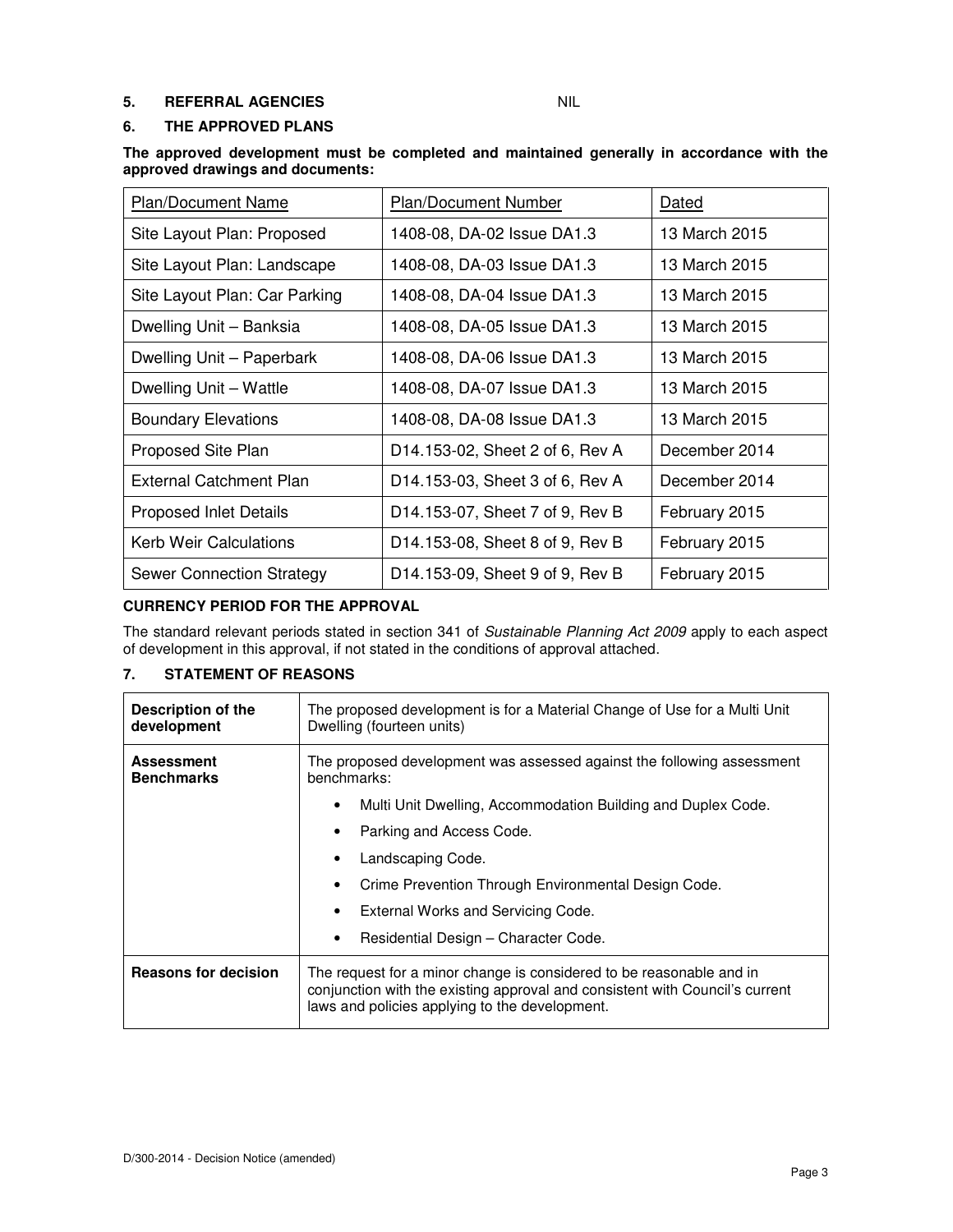#### **5. REFERRAL AGENCIES** NIL

## **6. THE APPROVED PLANS**

| <b>Plan/Document Name</b>     | Plan/Document Number            | Dated         |
|-------------------------------|---------------------------------|---------------|
| Site Layout Plan: Proposed    | 1408-08, DA-02 Issue DA1.3      | 13 March 2015 |
| Site Layout Plan: Landscape   | 1408-08, DA-03 Issue DA1.3      | 13 March 2015 |
| Site Layout Plan: Car Parking | 1408-08, DA-04 Issue DA1.3      | 13 March 2015 |
| Dwelling Unit - Banksia       | 1408-08, DA-05 Issue DA1.3      | 13 March 2015 |
| Dwelling Unit - Paperbark     | 1408-08, DA-06 Issue DA1.3      | 13 March 2015 |
| Dwelling Unit - Wattle        | 1408-08, DA-07 Issue DA1.3      | 13 March 2015 |
| <b>Boundary Elevations</b>    | 1408-08, DA-08 Issue DA1.3      | 13 March 2015 |
| Proposed Site Plan            | D14.153-02, Sheet 2 of 6, Rev A | December 2014 |
| External Catchment Plan       | D14.153-03, Sheet 3 of 6, Rev A | December 2014 |
| <b>Proposed Inlet Details</b> | D14.153-07, Sheet 7 of 9, Rev B | February 2015 |
| Kerb Weir Calculations        | D14.153-08, Sheet 8 of 9, Rev B | February 2015 |
| Sewer Connection Strategy     | D14.153-09, Sheet 9 of 9, Rev B | February 2015 |

**The approved development must be completed and maintained generally in accordance with the approved drawings and documents:** 

### **CURRENCY PERIOD FOR THE APPROVAL**

The standard relevant periods stated in section 341 of Sustainable Planning Act 2009 apply to each aspect of development in this approval, if not stated in the conditions of approval attached.

### **7. STATEMENT OF REASONS**

| Description of the<br>development      | The proposed development is for a Material Change of Use for a Multi Unit<br>Dwelling (fourteen units)                                                                                                 |  |
|----------------------------------------|--------------------------------------------------------------------------------------------------------------------------------------------------------------------------------------------------------|--|
| <b>Assessment</b><br><b>Benchmarks</b> | The proposed development was assessed against the following assessment<br>benchmarks:                                                                                                                  |  |
|                                        | Multi Unit Dwelling, Accommodation Building and Duplex Code.                                                                                                                                           |  |
|                                        | Parking and Access Code.                                                                                                                                                                               |  |
|                                        | Landscaping Code.                                                                                                                                                                                      |  |
|                                        | Crime Prevention Through Environmental Design Code.                                                                                                                                                    |  |
|                                        | External Works and Servicing Code.                                                                                                                                                                     |  |
|                                        | Residential Design – Character Code.                                                                                                                                                                   |  |
| <b>Reasons for decision</b>            | The request for a minor change is considered to be reasonable and in<br>conjunction with the existing approval and consistent with Council's current<br>laws and policies applying to the development. |  |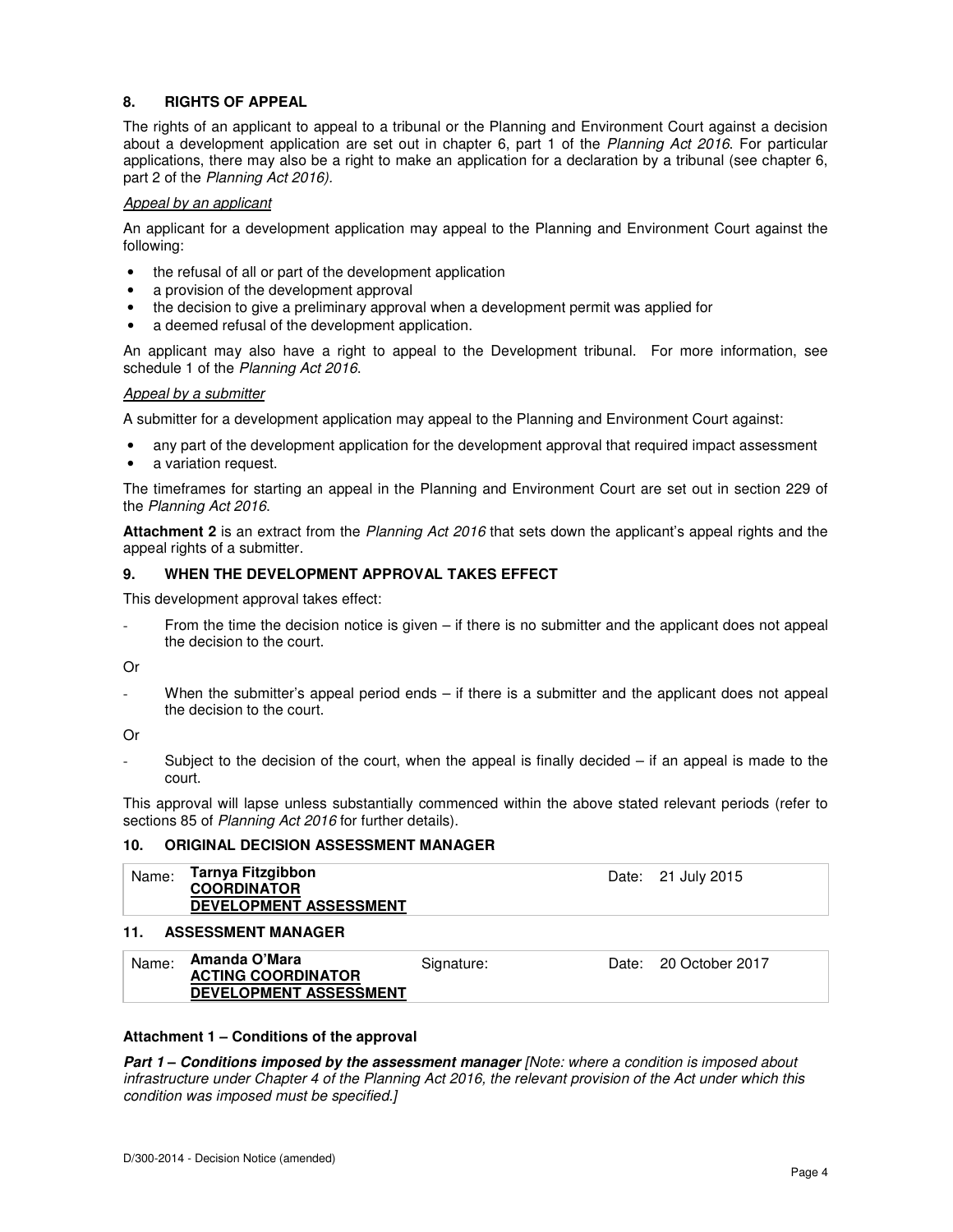## **8. RIGHTS OF APPEAL**

The rights of an applicant to appeal to a tribunal or the Planning and Environment Court against a decision about a development application are set out in chapter 6, part 1 of the Planning Act 2016. For particular applications, there may also be a right to make an application for a declaration by a tribunal (see chapter 6, part 2 of the Planning Act 2016).

#### Appeal by an applicant

An applicant for a development application may appeal to the Planning and Environment Court against the following:

- the refusal of all or part of the development application
- a provision of the development approval
- the decision to give a preliminary approval when a development permit was applied for
- a deemed refusal of the development application.

An applicant may also have a right to appeal to the Development tribunal. For more information, see schedule 1 of the Planning Act 2016.

#### Appeal by a submitter

A submitter for a development application may appeal to the Planning and Environment Court against:

- any part of the development application for the development approval that required impact assessment
- a variation request.

The timeframes for starting an appeal in the Planning and Environment Court are set out in section 229 of the Planning Act 2016.

**Attachment 2** is an extract from the Planning Act 2016 that sets down the applicant's appeal rights and the appeal rights of a submitter.

#### **9. WHEN THE DEVELOPMENT APPROVAL TAKES EFFECT**

This development approval takes effect:

From the time the decision notice is given  $-$  if there is no submitter and the applicant does not appeal the decision to the court.

Or

When the submitter's appeal period ends  $-$  if there is a submitter and the applicant does not appeal the decision to the court.

Or

Subject to the decision of the court, when the appeal is finally decided  $-$  if an appeal is made to the court.

This approval will lapse unless substantially commenced within the above stated relevant periods (refer to sections 85 of Planning Act 2016 for further details).

#### **10. ORIGINAL DECISION ASSESSMENT MANAGER**

| Name: | Tarnya Fitzgibbon<br><b>COORDINATOR</b><br><b>DEVELOPMENT ASSESSMENT</b> | Date: 21 July 2015 |
|-------|--------------------------------------------------------------------------|--------------------|
| 11.   | <b>ASSESSMENT MANAGER</b>                                                |                    |

#### Name: **Amanda O'Mara ACTING COORDINATOR DEVELOPMENT ASSESSMENT** Signature: Date: 20 October 2017

### **Attachment 1 – Conditions of the approval**

**Part 1 – Conditions imposed by the assessment manager** *[Note: where a condition is imposed about* infrastructure under Chapter 4 of the Planning Act 2016, the relevant provision of the Act under which this condition was imposed must be specified.]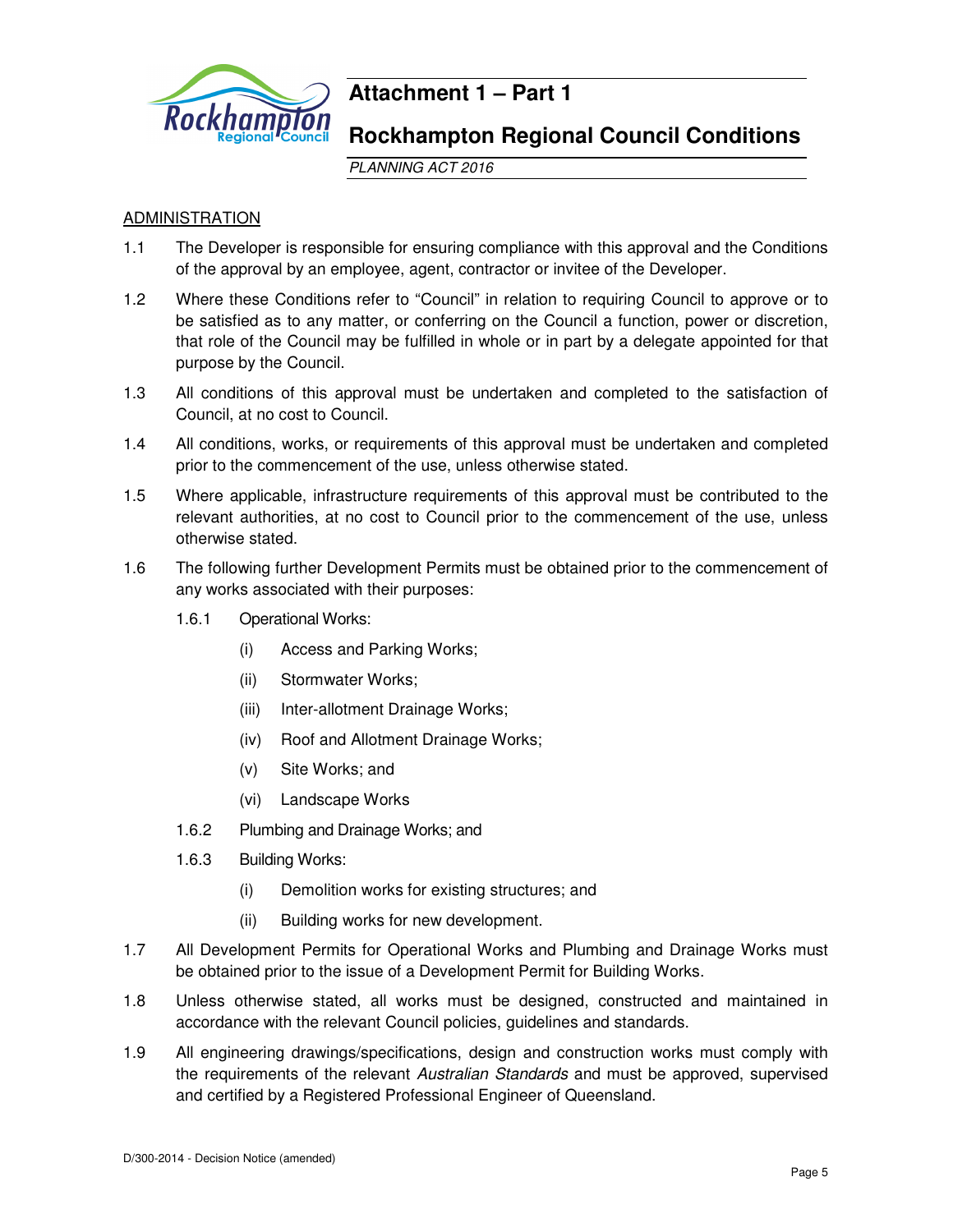

## **Attachment 1 – Part 1**

## **Rockhampton Regional Council Conditions**

PLANNING ACT 2016

## ADMINISTRATION

- 1.1 The Developer is responsible for ensuring compliance with this approval and the Conditions of the approval by an employee, agent, contractor or invitee of the Developer.
- 1.2 Where these Conditions refer to "Council" in relation to requiring Council to approve or to be satisfied as to any matter, or conferring on the Council a function, power or discretion, that role of the Council may be fulfilled in whole or in part by a delegate appointed for that purpose by the Council.
- 1.3 All conditions of this approval must be undertaken and completed to the satisfaction of Council, at no cost to Council.
- 1.4 All conditions, works, or requirements of this approval must be undertaken and completed prior to the commencement of the use, unless otherwise stated.
- 1.5 Where applicable, infrastructure requirements of this approval must be contributed to the relevant authorities, at no cost to Council prior to the commencement of the use, unless otherwise stated.
- 1.6 The following further Development Permits must be obtained prior to the commencement of any works associated with their purposes:
	- 1.6.1 Operational Works:
		- (i) Access and Parking Works;
		- (ii) Stormwater Works;
		- (iii) Inter-allotment Drainage Works;
		- (iv) Roof and Allotment Drainage Works;
		- (v) Site Works; and
		- (vi) Landscape Works
	- 1.6.2 Plumbing and Drainage Works; and
	- 1.6.3 Building Works:
		- (i) Demolition works for existing structures; and
		- (ii) Building works for new development.
- 1.7 All Development Permits for Operational Works and Plumbing and Drainage Works must be obtained prior to the issue of a Development Permit for Building Works.
- 1.8 Unless otherwise stated, all works must be designed, constructed and maintained in accordance with the relevant Council policies, guidelines and standards.
- 1.9 All engineering drawings/specifications, design and construction works must comply with the requirements of the relevant *Australian Standards* and must be approved, supervised and certified by a Registered Professional Engineer of Queensland.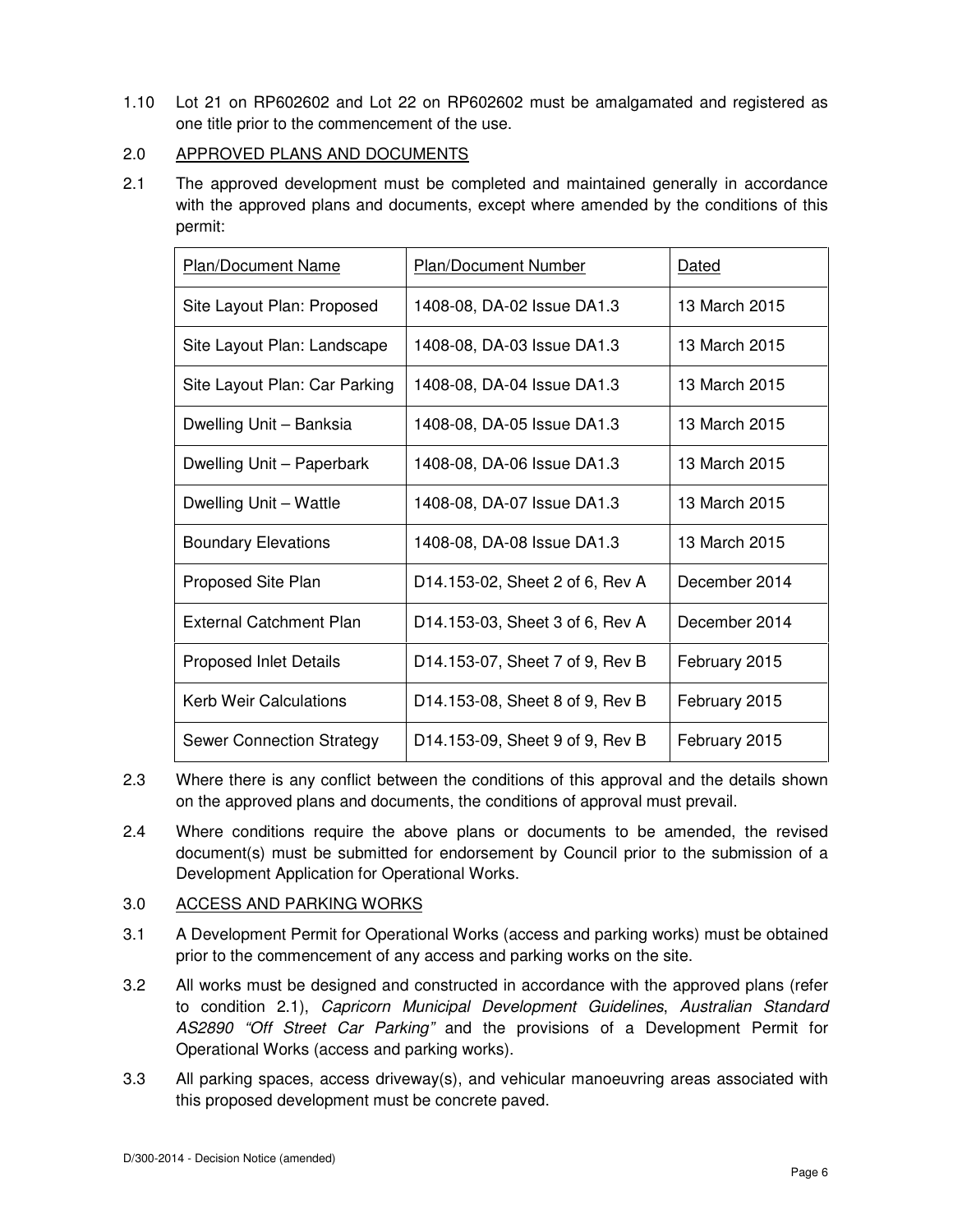1.10 Lot 21 on RP602602 and Lot 22 on RP602602 must be amalgamated and registered as one title prior to the commencement of the use.

## 2.0 APPROVED PLANS AND DOCUMENTS

2.1 The approved development must be completed and maintained generally in accordance with the approved plans and documents, except where amended by the conditions of this permit:

| <b>Plan/Document Name</b>        | <b>Plan/Document Number</b>     | <b>Dated</b>  |
|----------------------------------|---------------------------------|---------------|
| Site Layout Plan: Proposed       | 1408-08, DA-02 Issue DA1.3      | 13 March 2015 |
| Site Layout Plan: Landscape      | 1408-08, DA-03 Issue DA1.3      | 13 March 2015 |
| Site Layout Plan: Car Parking    | 1408-08, DA-04 Issue DA1.3      | 13 March 2015 |
| Dwelling Unit - Banksia          | 1408-08, DA-05 Issue DA1.3      | 13 March 2015 |
| Dwelling Unit - Paperbark        | 1408-08, DA-06 Issue DA1.3      | 13 March 2015 |
| Dwelling Unit - Wattle           | 1408-08, DA-07 Issue DA1.3      | 13 March 2015 |
| <b>Boundary Elevations</b>       | 1408-08, DA-08 Issue DA1.3      | 13 March 2015 |
| Proposed Site Plan               | D14.153-02, Sheet 2 of 6, Rev A | December 2014 |
| <b>External Catchment Plan</b>   | D14.153-03, Sheet 3 of 6, Rev A | December 2014 |
| <b>Proposed Inlet Details</b>    | D14.153-07, Sheet 7 of 9, Rev B | February 2015 |
| Kerb Weir Calculations           | D14.153-08, Sheet 8 of 9, Rev B | February 2015 |
| <b>Sewer Connection Strategy</b> | D14.153-09, Sheet 9 of 9, Rev B | February 2015 |

- 2.3 Where there is any conflict between the conditions of this approval and the details shown on the approved plans and documents, the conditions of approval must prevail.
- 2.4 Where conditions require the above plans or documents to be amended, the revised document(s) must be submitted for endorsement by Council prior to the submission of a Development Application for Operational Works.

## 3.0 ACCESS AND PARKING WORKS

- 3.1 A Development Permit for Operational Works (access and parking works) must be obtained prior to the commencement of any access and parking works on the site.
- 3.2 All works must be designed and constructed in accordance with the approved plans (refer to condition 2.1), Capricorn Municipal Development Guidelines, Australian Standard AS2890 "Off Street Car Parking" and the provisions of a Development Permit for Operational Works (access and parking works).
- 3.3 All parking spaces, access driveway(s), and vehicular manoeuvring areas associated with this proposed development must be concrete paved.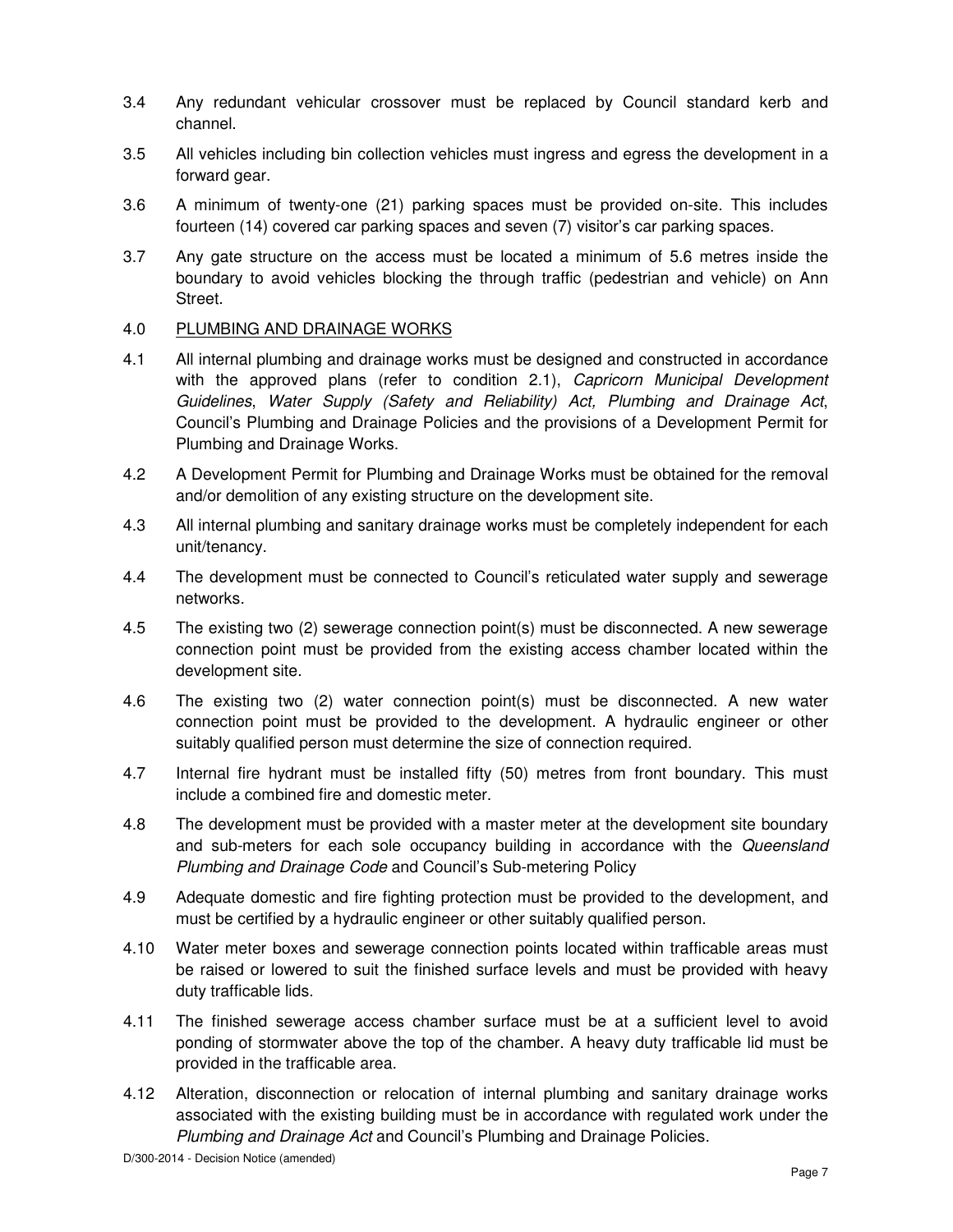- 3.4 Any redundant vehicular crossover must be replaced by Council standard kerb and channel.
- 3.5 All vehicles including bin collection vehicles must ingress and egress the development in a forward gear.
- 3.6 A minimum of twenty-one (21) parking spaces must be provided on-site. This includes fourteen (14) covered car parking spaces and seven (7) visitor's car parking spaces.
- 3.7 Any gate structure on the access must be located a minimum of 5.6 metres inside the boundary to avoid vehicles blocking the through traffic (pedestrian and vehicle) on Ann Street.

## 4.0 PLUMBING AND DRAINAGE WORKS

- 4.1 All internal plumbing and drainage works must be designed and constructed in accordance with the approved plans (refer to condition 2.1), Capricorn Municipal Development Guidelines, Water Supply (Safety and Reliability) Act, Plumbing and Drainage Act, Council's Plumbing and Drainage Policies and the provisions of a Development Permit for Plumbing and Drainage Works.
- 4.2 A Development Permit for Plumbing and Drainage Works must be obtained for the removal and/or demolition of any existing structure on the development site.
- 4.3 All internal plumbing and sanitary drainage works must be completely independent for each unit/tenancy.
- 4.4 The development must be connected to Council's reticulated water supply and sewerage networks.
- 4.5 The existing two (2) sewerage connection point(s) must be disconnected. A new sewerage connection point must be provided from the existing access chamber located within the development site.
- 4.6 The existing two (2) water connection point(s) must be disconnected. A new water connection point must be provided to the development. A hydraulic engineer or other suitably qualified person must determine the size of connection required.
- 4.7 Internal fire hydrant must be installed fifty (50) metres from front boundary. This must include a combined fire and domestic meter.
- 4.8 The development must be provided with a master meter at the development site boundary and sub-meters for each sole occupancy building in accordance with the Queensland Plumbing and Drainage Code and Council's Sub-metering Policy
- 4.9 Adequate domestic and fire fighting protection must be provided to the development, and must be certified by a hydraulic engineer or other suitably qualified person.
- 4.10 Water meter boxes and sewerage connection points located within trafficable areas must be raised or lowered to suit the finished surface levels and must be provided with heavy duty trafficable lids.
- 4.11 The finished sewerage access chamber surface must be at a sufficient level to avoid ponding of stormwater above the top of the chamber. A heavy duty trafficable lid must be provided in the trafficable area.
- 4.12 Alteration, disconnection or relocation of internal plumbing and sanitary drainage works associated with the existing building must be in accordance with regulated work under the Plumbing and Drainage Act and Council's Plumbing and Drainage Policies.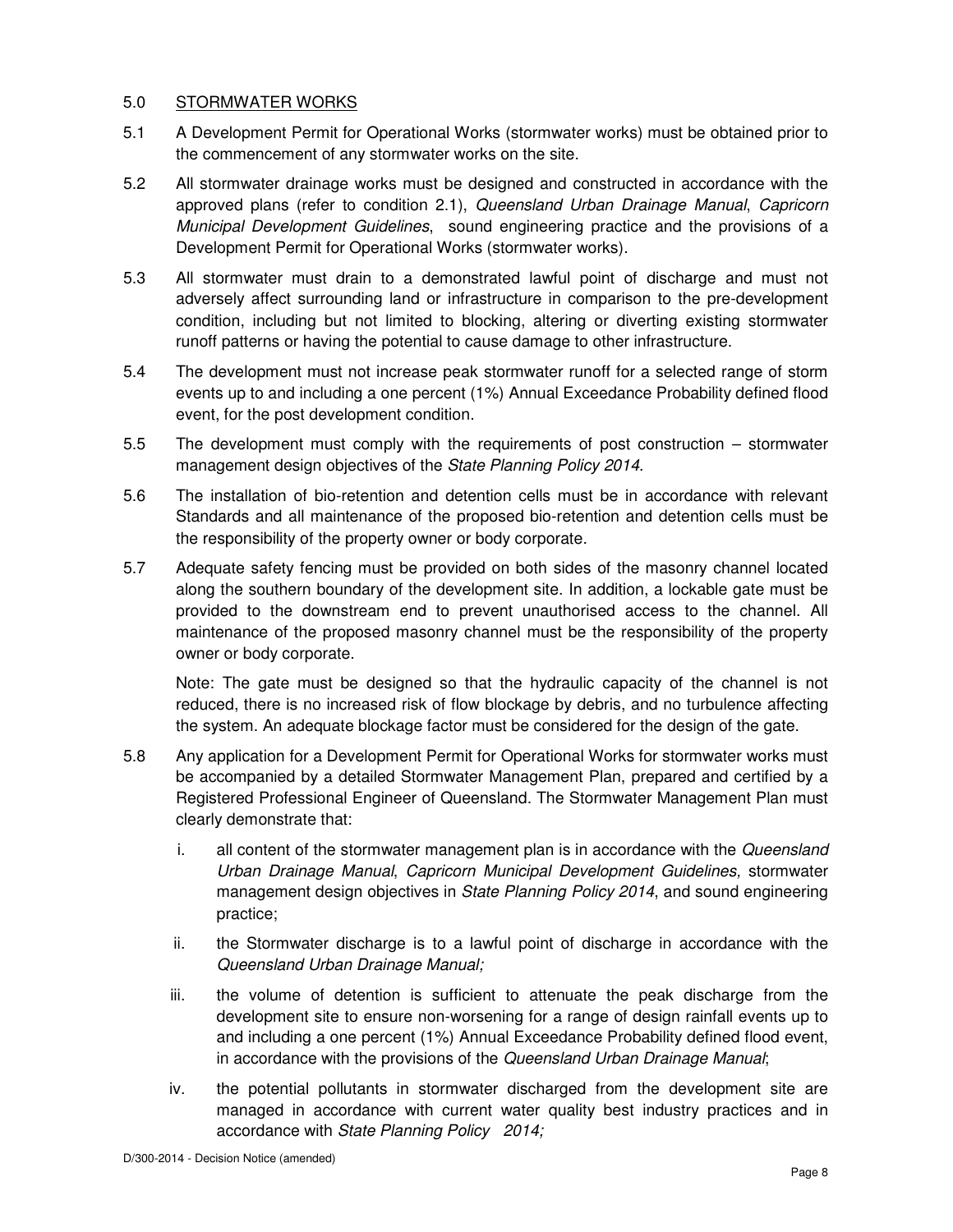## 5.0 STORMWATER WORKS

- 5.1 A Development Permit for Operational Works (stormwater works) must be obtained prior to the commencement of any stormwater works on the site.
- 5.2 All stormwater drainage works must be designed and constructed in accordance with the approved plans (refer to condition 2.1), Queensland Urban Drainage Manual, Capricorn Municipal Development Guidelines, sound engineering practice and the provisions of a Development Permit for Operational Works (stormwater works).
- 5.3 All stormwater must drain to a demonstrated lawful point of discharge and must not adversely affect surrounding land or infrastructure in comparison to the pre-development condition, including but not limited to blocking, altering or diverting existing stormwater runoff patterns or having the potential to cause damage to other infrastructure.
- 5.4 The development must not increase peak stormwater runoff for a selected range of storm events up to and including a one percent (1%) Annual Exceedance Probability defined flood event, for the post development condition.
- 5.5 The development must comply with the requirements of post construction stormwater management design objectives of the State Planning Policy 2014.
- 5.6 The installation of bio-retention and detention cells must be in accordance with relevant Standards and all maintenance of the proposed bio-retention and detention cells must be the responsibility of the property owner or body corporate.
- 5.7 Adequate safety fencing must be provided on both sides of the masonry channel located along the southern boundary of the development site. In addition, a lockable gate must be provided to the downstream end to prevent unauthorised access to the channel. All maintenance of the proposed masonry channel must be the responsibility of the property owner or body corporate.

 Note: The gate must be designed so that the hydraulic capacity of the channel is not reduced, there is no increased risk of flow blockage by debris, and no turbulence affecting the system. An adequate blockage factor must be considered for the design of the gate.

- 5.8 Any application for a Development Permit for Operational Works for stormwater works must be accompanied by a detailed Stormwater Management Plan, prepared and certified by a Registered Professional Engineer of Queensland. The Stormwater Management Plan must clearly demonstrate that:
	- i. all content of the stormwater management plan is in accordance with the Queensland Urban Drainage Manual, Capricorn Municipal Development Guidelines, stormwater management design objectives in State Planning Policy 2014, and sound engineering practice;
	- ii. the Stormwater discharge is to a lawful point of discharge in accordance with the Queensland Urban Drainage Manual;
	- iii. the volume of detention is sufficient to attenuate the peak discharge from the development site to ensure non-worsening for a range of design rainfall events up to and including a one percent (1%) Annual Exceedance Probability defined flood event, in accordance with the provisions of the Queensland Urban Drainage Manual;
	- iv. the potential pollutants in stormwater discharged from the development site are managed in accordance with current water quality best industry practices and in accordance with State Planning Policy 2014;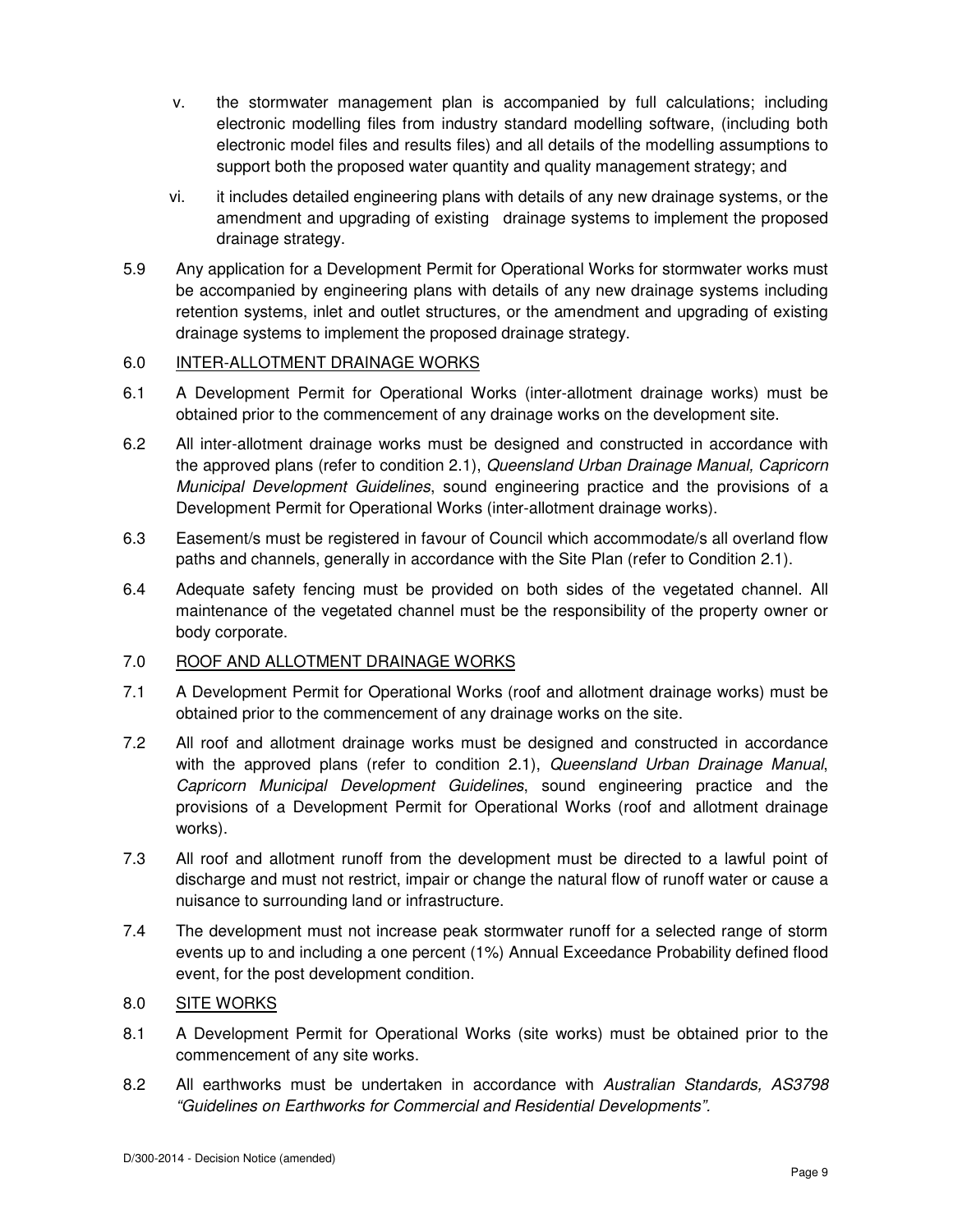- v. the stormwater management plan is accompanied by full calculations; including electronic modelling files from industry standard modelling software, (including both electronic model files and results files) and all details of the modelling assumptions to support both the proposed water quantity and quality management strategy; and
- vi. it includes detailed engineering plans with details of any new drainage systems, or the amendment and upgrading of existing drainage systems to implement the proposed drainage strategy.
- 5.9 Any application for a Development Permit for Operational Works for stormwater works must be accompanied by engineering plans with details of any new drainage systems including retention systems, inlet and outlet structures, or the amendment and upgrading of existing drainage systems to implement the proposed drainage strategy.

## 6.0 INTER-ALLOTMENT DRAINAGE WORKS

- 6.1 A Development Permit for Operational Works (inter-allotment drainage works) must be obtained prior to the commencement of any drainage works on the development site.
- 6.2 All inter-allotment drainage works must be designed and constructed in accordance with the approved plans (refer to condition 2.1), Queensland Urban Drainage Manual, Capricorn Municipal Development Guidelines, sound engineering practice and the provisions of a Development Permit for Operational Works (inter-allotment drainage works).
- 6.3 Easement/s must be registered in favour of Council which accommodate/s all overland flow paths and channels, generally in accordance with the Site Plan (refer to Condition 2.1).
- 6.4 Adequate safety fencing must be provided on both sides of the vegetated channel. All maintenance of the vegetated channel must be the responsibility of the property owner or body corporate.

## 7.0 ROOF AND ALLOTMENT DRAINAGE WORKS

- 7.1 A Development Permit for Operational Works (roof and allotment drainage works) must be obtained prior to the commencement of any drainage works on the site.
- 7.2 All roof and allotment drainage works must be designed and constructed in accordance with the approved plans (refer to condition 2.1), Queensland Urban Drainage Manual, Capricorn Municipal Development Guidelines, sound engineering practice and the provisions of a Development Permit for Operational Works (roof and allotment drainage works).
- 7.3 All roof and allotment runoff from the development must be directed to a lawful point of discharge and must not restrict, impair or change the natural flow of runoff water or cause a nuisance to surrounding land or infrastructure.
- 7.4 The development must not increase peak stormwater runoff for a selected range of storm events up to and including a one percent (1%) Annual Exceedance Probability defined flood event, for the post development condition.

## 8.0 SITE WORKS

- 8.1 A Development Permit for Operational Works (site works) must be obtained prior to the commencement of any site works.
- 8.2 All earthworks must be undertaken in accordance with Australian Standards, AS3798 "Guidelines on Earthworks for Commercial and Residential Developments".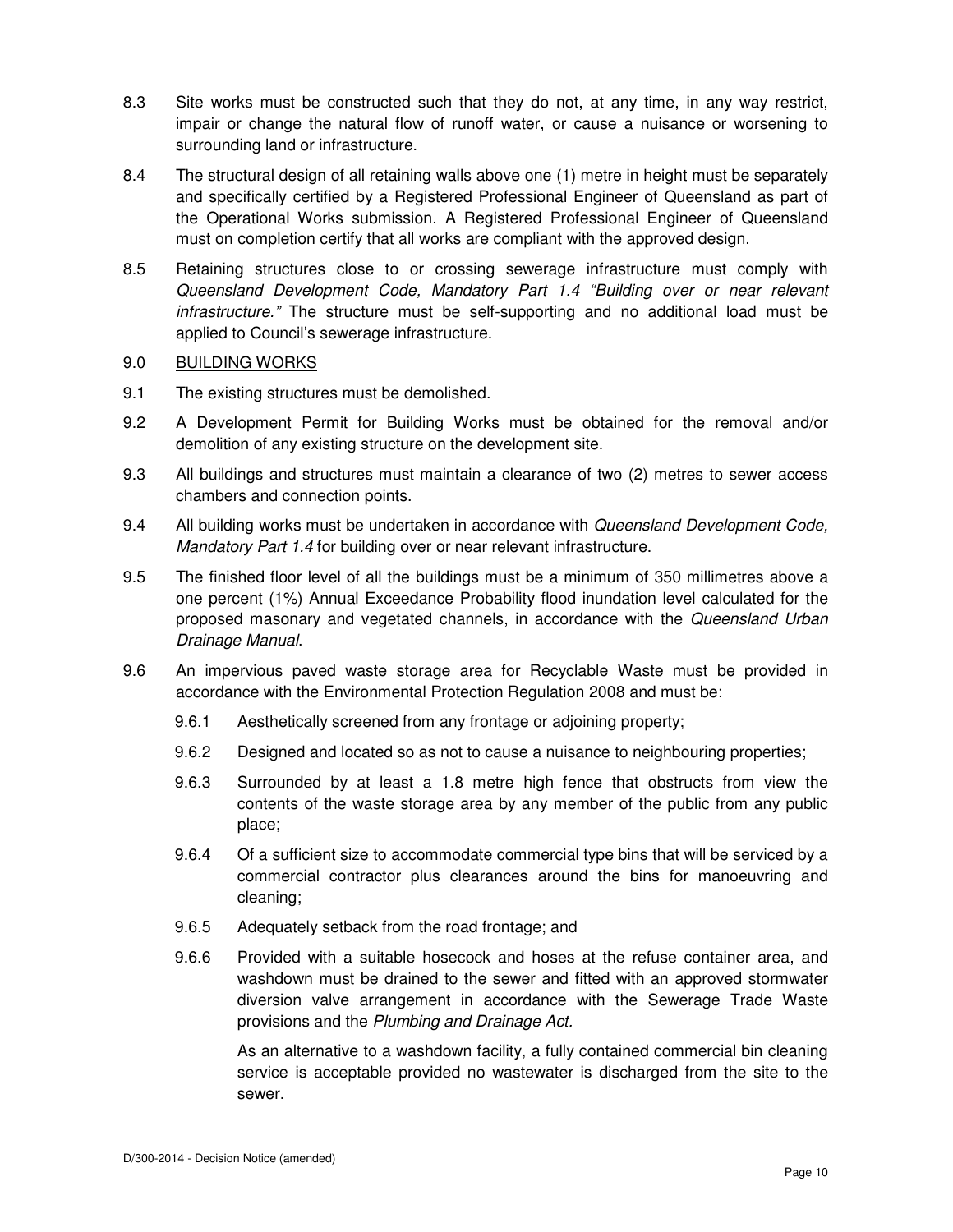- 8.3 Site works must be constructed such that they do not, at any time, in any way restrict, impair or change the natural flow of runoff water, or cause a nuisance or worsening to surrounding land or infrastructure.
- 8.4 The structural design of all retaining walls above one (1) metre in height must be separately and specifically certified by a Registered Professional Engineer of Queensland as part of the Operational Works submission. A Registered Professional Engineer of Queensland must on completion certify that all works are compliant with the approved design.
- 8.5 Retaining structures close to or crossing sewerage infrastructure must comply with Queensland Development Code, Mandatory Part 1.4 "Building over or near relevant infrastructure." The structure must be self-supporting and no additional load must be applied to Council's sewerage infrastructure.

## 9.0 BUILDING WORKS

- 9.1 The existing structures must be demolished.
- 9.2 A Development Permit for Building Works must be obtained for the removal and/or demolition of any existing structure on the development site.
- 9.3 All buildings and structures must maintain a clearance of two (2) metres to sewer access chambers and connection points.
- 9.4 All building works must be undertaken in accordance with Queensland Development Code, Mandatory Part 1.4 for building over or near relevant infrastructure.
- 9.5 The finished floor level of all the buildings must be a minimum of 350 millimetres above a one percent (1%) Annual Exceedance Probability flood inundation level calculated for the proposed masonary and vegetated channels, in accordance with the Queensland Urban Drainage Manual.
- 9.6 An impervious paved waste storage area for Recyclable Waste must be provided in accordance with the Environmental Protection Regulation 2008 and must be:
	- 9.6.1 Aesthetically screened from any frontage or adjoining property;
	- 9.6.2 Designed and located so as not to cause a nuisance to neighbouring properties;
	- 9.6.3 Surrounded by at least a 1.8 metre high fence that obstructs from view the contents of the waste storage area by any member of the public from any public place;
	- 9.6.4 Of a sufficient size to accommodate commercial type bins that will be serviced by a commercial contractor plus clearances around the bins for manoeuvring and cleaning;
	- 9.6.5 Adequately setback from the road frontage; and
	- 9.6.6 Provided with a suitable hosecock and hoses at the refuse container area, and washdown must be drained to the sewer and fitted with an approved stormwater diversion valve arrangement in accordance with the Sewerage Trade Waste provisions and the Plumbing and Drainage Act.

As an alternative to a washdown facility, a fully contained commercial bin cleaning service is acceptable provided no wastewater is discharged from the site to the sewer.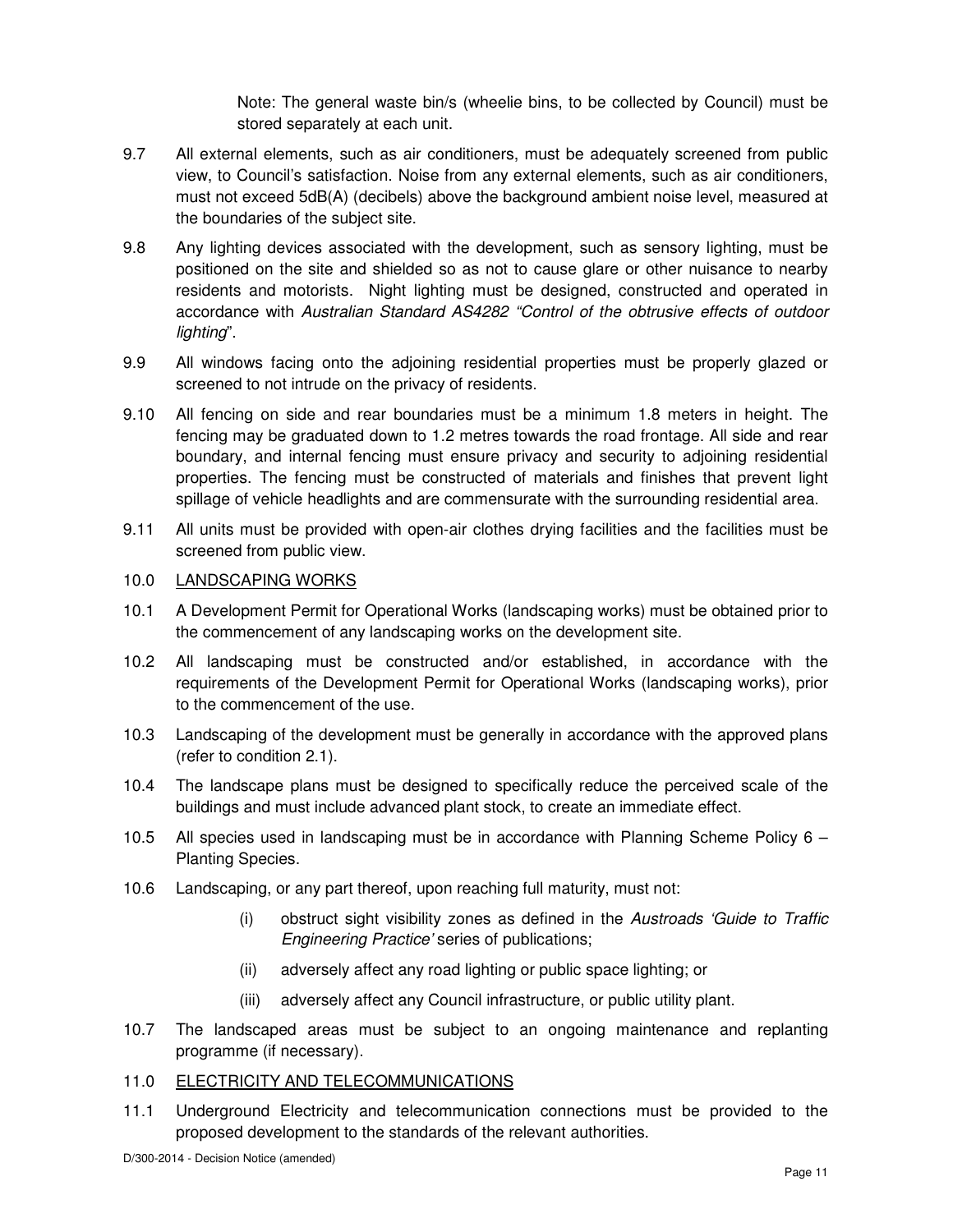Note: The general waste bin/s (wheelie bins, to be collected by Council) must be stored separately at each unit.

- 9.7 All external elements, such as air conditioners, must be adequately screened from public view, to Council's satisfaction. Noise from any external elements, such as air conditioners, must not exceed 5dB(A) (decibels) above the background ambient noise level, measured at the boundaries of the subject site.
- 9.8 Any lighting devices associated with the development, such as sensory lighting, must be positioned on the site and shielded so as not to cause glare or other nuisance to nearby residents and motorists. Night lighting must be designed, constructed and operated in accordance with Australian Standard AS4282 "Control of the obtrusive effects of outdoor lighting".
- 9.9 All windows facing onto the adjoining residential properties must be properly glazed or screened to not intrude on the privacy of residents.
- 9.10 All fencing on side and rear boundaries must be a minimum 1.8 meters in height. The fencing may be graduated down to 1.2 metres towards the road frontage. All side and rear boundary, and internal fencing must ensure privacy and security to adjoining residential properties. The fencing must be constructed of materials and finishes that prevent light spillage of vehicle headlights and are commensurate with the surrounding residential area.
- 9.11 All units must be provided with open-air clothes drying facilities and the facilities must be screened from public view.

## 10.0 LANDSCAPING WORKS

- 10.1 A Development Permit for Operational Works (landscaping works) must be obtained prior to the commencement of any landscaping works on the development site.
- 10.2 All landscaping must be constructed and/or established, in accordance with the requirements of the Development Permit for Operational Works (landscaping works), prior to the commencement of the use.
- 10.3 Landscaping of the development must be generally in accordance with the approved plans (refer to condition 2.1).
- 10.4 The landscape plans must be designed to specifically reduce the perceived scale of the buildings and must include advanced plant stock, to create an immediate effect.
- 10.5 All species used in landscaping must be in accordance with Planning Scheme Policy 6 Planting Species.
- 10.6 Landscaping, or any part thereof, upon reaching full maturity, must not:
	- (i) obstruct sight visibility zones as defined in the Austroads 'Guide to Traffic Engineering Practice' series of publications;
	- (ii) adversely affect any road lighting or public space lighting; or
	- (iii) adversely affect any Council infrastructure, or public utility plant.
- 10.7 The landscaped areas must be subject to an ongoing maintenance and replanting programme (if necessary).
- 11.0 ELECTRICITY AND TELECOMMUNICATIONS
- 11.1 Underground Electricity and telecommunication connections must be provided to the proposed development to the standards of the relevant authorities.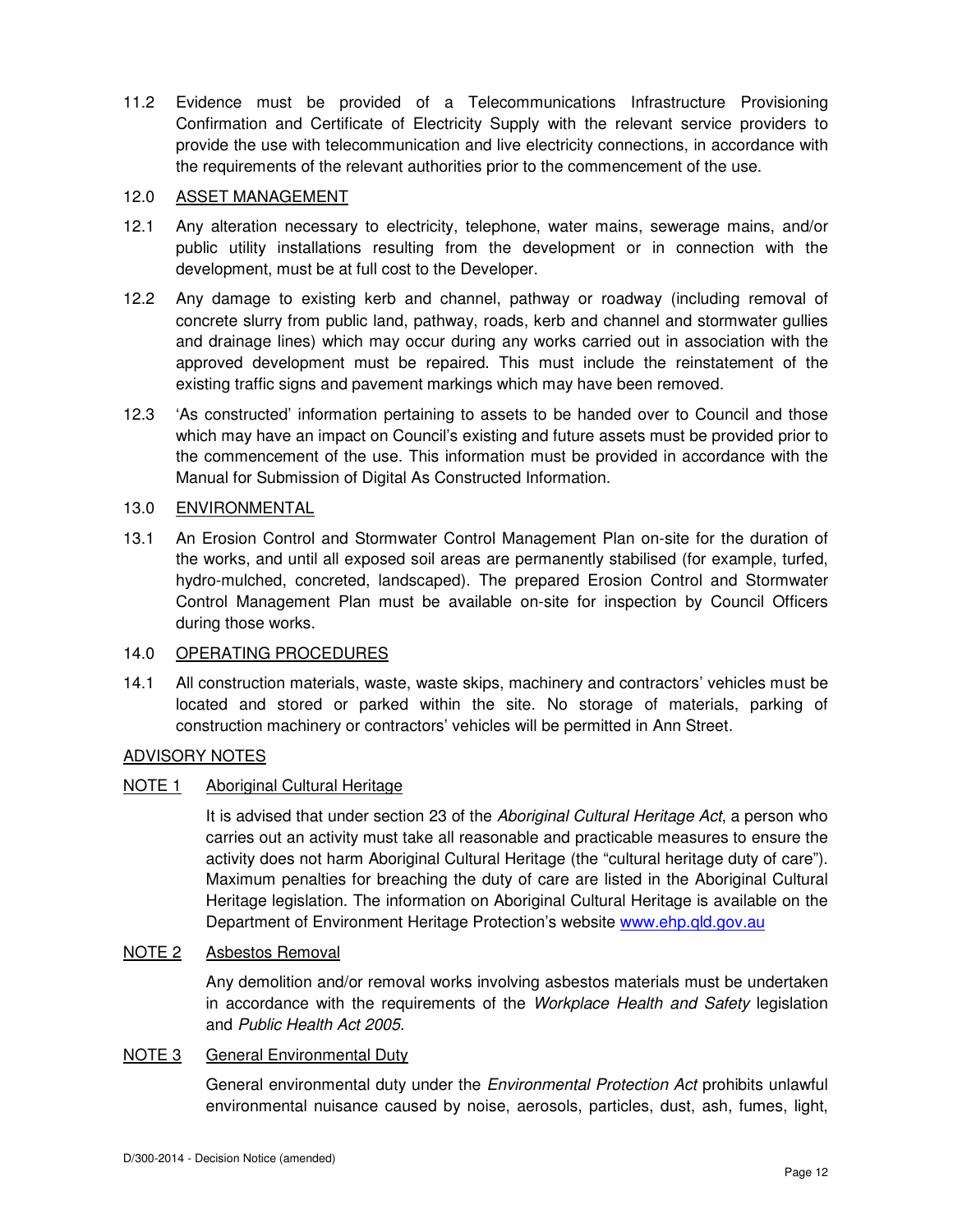11.2 Evidence must be provided of a Telecommunications Infrastructure Provisioning Confirmation and Certificate of Electricity Supply with the relevant service providers to provide the use with telecommunication and live electricity connections, in accordance with the requirements of the relevant authorities prior to the commencement of the use.

## 12.0 ASSET MANAGEMENT

- 12.1 Any alteration necessary to electricity, telephone, water mains, sewerage mains, and/or public utility installations resulting from the development or in connection with the development, must be at full cost to the Developer.
- 12.2 Any damage to existing kerb and channel, pathway or roadway (including removal of concrete slurry from public land, pathway, roads, kerb and channel and stormwater gullies and drainage lines) which may occur during any works carried out in association with the approved development must be repaired. This must include the reinstatement of the existing traffic signs and pavement markings which may have been removed.
- 12.3 'As constructed' information pertaining to assets to be handed over to Council and those which may have an impact on Council's existing and future assets must be provided prior to the commencement of the use. This information must be provided in accordance with the Manual for Submission of Digital As Constructed Information.

## 13.0 ENVIRONMENTAL

13.1 An Erosion Control and Stormwater Control Management Plan on-site for the duration of the works, and until all exposed soil areas are permanently stabilised (for example, turfed, hydro-mulched, concreted, landscaped). The prepared Erosion Control and Stormwater Control Management Plan must be available on-site for inspection by Council Officers during those works.

## 14.0 OPERATING PROCEDURES

14.1 All construction materials, waste, waste skips, machinery and contractors' vehicles must be located and stored or parked within the site. No storage of materials, parking of construction machinery or contractors' vehicles will be permitted in Ann Street.

### ADVISORY NOTES

## NOTE 1 Aboriginal Cultural Heritage

It is advised that under section 23 of the Aboriginal Cultural Heritage Act, a person who carries out an activity must take all reasonable and practicable measures to ensure the activity does not harm Aboriginal Cultural Heritage (the "cultural heritage duty of care"). Maximum penalties for breaching the duty of care are listed in the Aboriginal Cultural Heritage legislation. The information on Aboriginal Cultural Heritage is available on the Department of Environment Heritage Protection's website www.ehp.qld.gov.au

## NOTE 2 Asbestos Removal

Any demolition and/or removal works involving asbestos materials must be undertaken in accordance with the requirements of the Workplace Health and Safety legislation and Public Health Act 2005.

## NOTE 3 General Environmental Duty

General environmental duty under the *Environmental Protection Act* prohibits unlawful environmental nuisance caused by noise, aerosols, particles, dust, ash, fumes, light,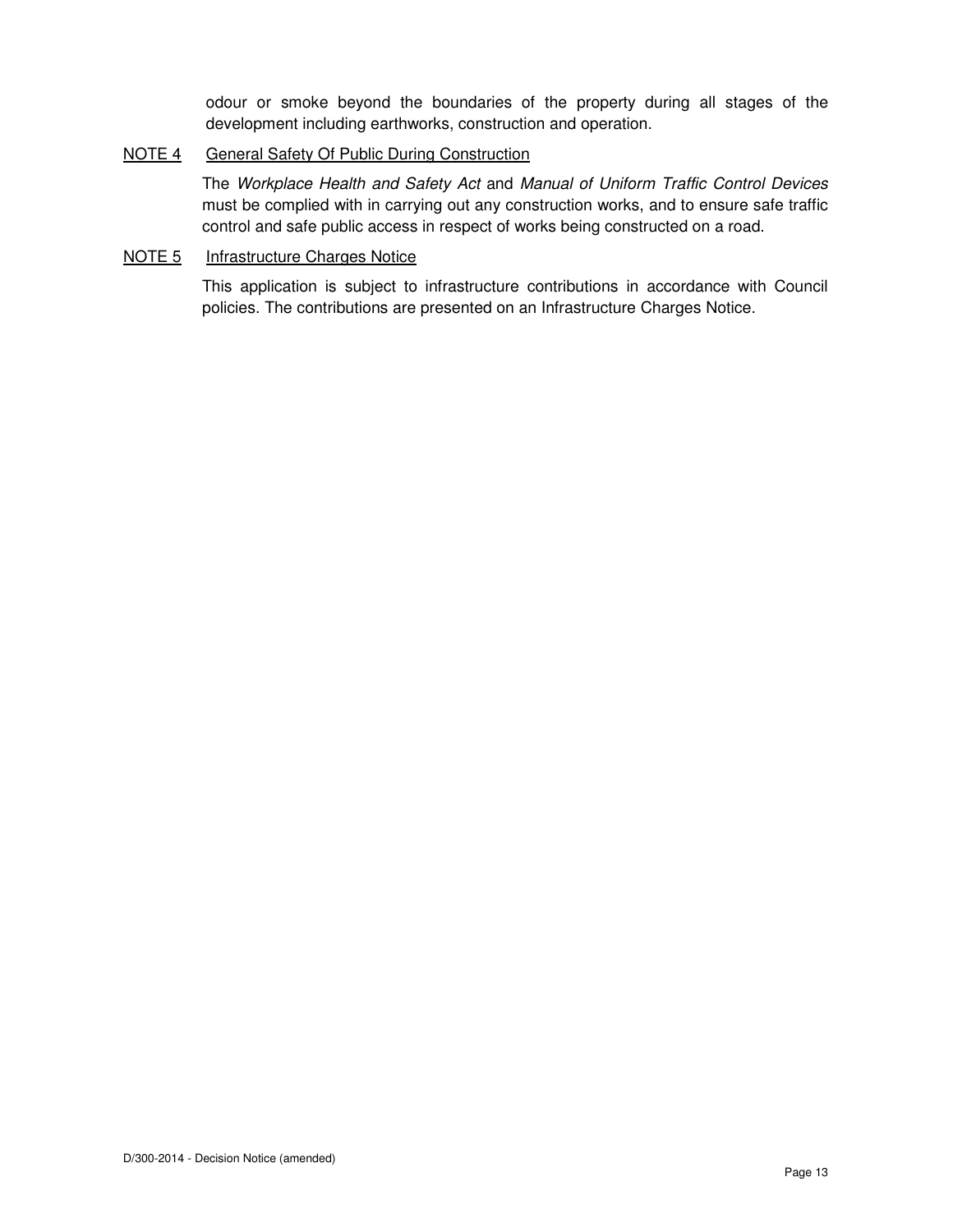odour or smoke beyond the boundaries of the property during all stages of the development including earthworks, construction and operation.

## NOTE 4 General Safety Of Public During Construction

The Workplace Health and Safety Act and Manual of Uniform Traffic Control Devices must be complied with in carrying out any construction works, and to ensure safe traffic control and safe public access in respect of works being constructed on a road.

## NOTE 5 Infrastructure Charges Notice

This application is subject to infrastructure contributions in accordance with Council policies. The contributions are presented on an Infrastructure Charges Notice.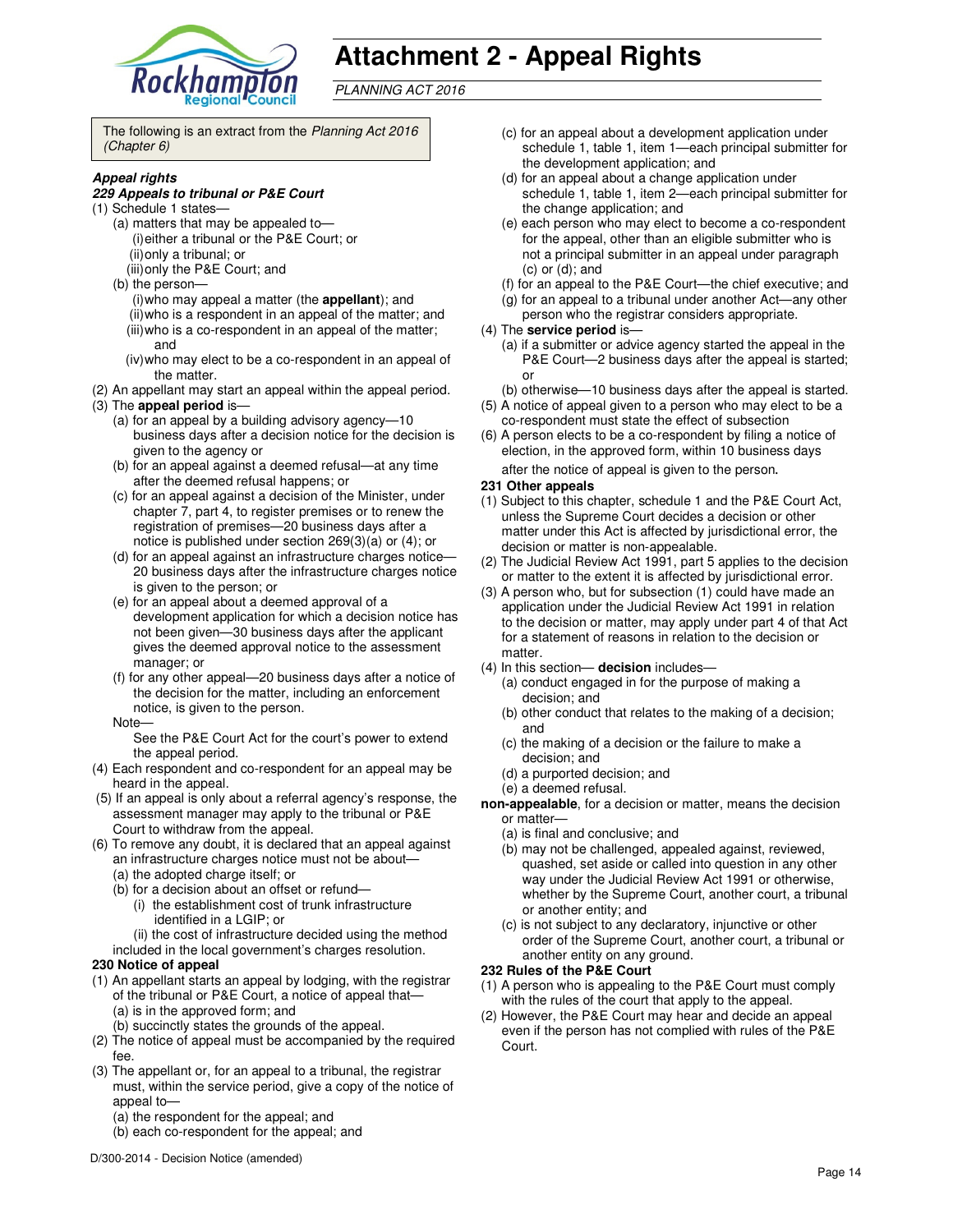

# **Attachment 2 - Appeal Rights**

PLANNING ACT 2016

The following is an extract from the Planning Act 2016 (Chapter 6)

#### **Appeal rights**

#### **229 Appeals to tribunal or P&E Court**

- (1) Schedule 1 states—
	- (a) matters that may be appealed to— (i) either a tribunal or the P&E Court; or (ii) only a tribunal; or (iii) only the P&E Court; and
	- (b) the person—
		- (i) who may appeal a matter (the **appellant**); and (ii) who is a respondent in an appeal of the matter; and (iii) who is a co-respondent in an appeal of the matter; and
		- (iv) who may elect to be a co-respondent in an appeal of the matter.
- (2) An appellant may start an appeal within the appeal period.
- (3) The **appeal period** is—
	- (a) for an appeal by a building advisory agency—10 business days after a decision notice for the decision is given to the agency or
	- (b) for an appeal against a deemed refusal—at any time after the deemed refusal happens; or
	- (c) for an appeal against a decision of the Minister, under chapter 7, part 4, to register premises or to renew the registration of premises—20 business days after a notice is published under section 269(3)(a) or (4); or
	- (d) for an appeal against an infrastructure charges notice— 20 business days after the infrastructure charges notice is given to the person; or
	- (e) for an appeal about a deemed approval of a development application for which a decision notice has not been given—30 business days after the applicant gives the deemed approval notice to the assessment manager; or
	- (f) for any other appeal—20 business days after a notice of the decision for the matter, including an enforcement notice, is given to the person.
	- Note—

See the P&E Court Act for the court's power to extend the appeal period.

- (4) Each respondent and co-respondent for an appeal may be heard in the appeal.
- (5) If an appeal is only about a referral agency's response, the assessment manager may apply to the tribunal or P&E Court to withdraw from the appeal.
- (6) To remove any doubt, it is declared that an appeal against an infrastructure charges notice must not be about—
	- (a) the adopted charge itself; or
	- (b) for a decision about an offset or refund—
		- (i) the establishment cost of trunk infrastructure identified in a LGIP; or
	- (ii) the cost of infrastructure decided using the method included in the local government's charges resolution.

#### **230 Notice of appeal**

- (1) An appellant starts an appeal by lodging, with the registrar of the tribunal or P&E Court, a notice of appeal that— (a) is in the approved form; and
	- (b) succinctly states the grounds of the appeal.
- (2) The notice of appeal must be accompanied by the required fee.
- (3) The appellant or, for an appeal to a tribunal, the registrar must, within the service period, give a copy of the notice of appeal to-
	- (a) the respondent for the appeal; and
	- (b) each co-respondent for the appeal; and
- (c) for an appeal about a development application under schedule 1, table 1, item 1—each principal submitter for the development application; and
- (d) for an appeal about a change application under schedule 1, table 1, item 2—each principal submitter for the change application; and
- (e) each person who may elect to become a co-respondent for the appeal, other than an eligible submitter who is not a principal submitter in an appeal under paragraph (c) or (d); and
- (f) for an appeal to the P&E Court—the chief executive; and
- (g) for an appeal to a tribunal under another Act—any other
- person who the registrar considers appropriate.

#### (4) The **service period** is—

- (a) if a submitter or advice agency started the appeal in the P&E Court-2 business days after the appeal is started; or
- (b) otherwise—10 business days after the appeal is started.
- (5) A notice of appeal given to a person who may elect to be a co-respondent must state the effect of subsection
- (6) A person elects to be a co-respondent by filing a notice of election, in the approved form, within 10 business days after the notice of appeal is given to the person*.*

#### **231 Other appeals**

- (1) Subject to this chapter, schedule 1 and the P&E Court Act, unless the Supreme Court decides a decision or other matter under this Act is affected by jurisdictional error, the decision or matter is non-appealable.
- (2) The Judicial Review Act 1991, part 5 applies to the decision or matter to the extent it is affected by jurisdictional error.
- (3) A person who, but for subsection (1) could have made an application under the Judicial Review Act 1991 in relation to the decision or matter, may apply under part 4 of that Act for a statement of reasons in relation to the decision or matter.
- (4) In this section— **decision** includes—
	- (a) conduct engaged in for the purpose of making a decision; and
	- (b) other conduct that relates to the making of a decision; and
	- (c) the making of a decision or the failure to make a decision; and
	- (d) a purported decision; and
	- (e) a deemed refusal.
- **non-appealable**, for a decision or matter, means the decision or matter—
	- (a) is final and conclusive; and
	- (b) may not be challenged, appealed against, reviewed, quashed, set aside or called into question in any other way under the Judicial Review Act 1991 or otherwise, whether by the Supreme Court, another court, a tribunal or another entity; and
	- (c) is not subject to any declaratory, injunctive or other order of the Supreme Court, another court, a tribunal or another entity on any ground.

#### **232 Rules of the P&E Court**

- (1) A person who is appealing to the P&E Court must comply with the rules of the court that apply to the appeal.
- (2) However, the P&E Court may hear and decide an appeal even if the person has not complied with rules of the P&E Court.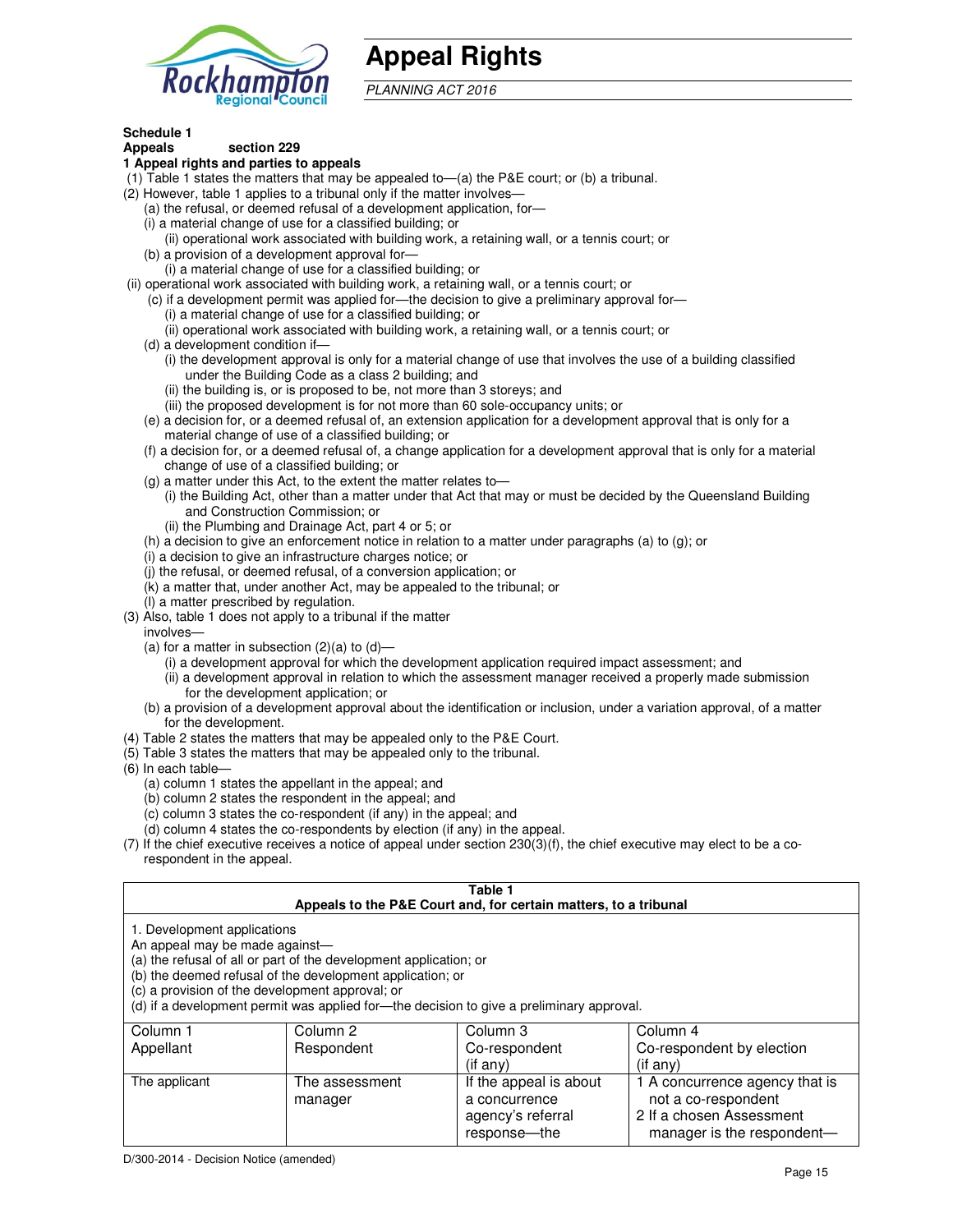

## **Appeal Rights**

PLANNING ACT 2016

## **Schedule 1**

#### **Appeals section 229 1 Appeal rights and parties to appeals**

- (1) Table 1 states the matters that may be appealed to—(a) the P&E court; or (b) a tribunal.
- (2) However, table 1 applies to a tribunal only if the matter involves—
	- (a) the refusal, or deemed refusal of a development application, for—
	- (i) a material change of use for a classified building; or
	- (ii) operational work associated with building work, a retaining wall, or a tennis court; or (b) a provision of a development approval for—
	- (i) a material change of use for a classified building; or
- (ii) operational work associated with building work, a retaining wall, or a tennis court; or
	- (c) if a development permit was applied for—the decision to give a preliminary approval for—
		- (i) a material change of use for a classified building; or
		- (ii) operational work associated with building work, a retaining wall, or a tennis court; or
	- (d) a development condition if—
		- (i) the development approval is only for a material change of use that involves the use of a building classified under the Building Code as a class 2 building; and
		- (ii) the building is, or is proposed to be, not more than 3 storeys; and
		- (iii) the proposed development is for not more than 60 sole-occupancy units; or
	- (e) a decision for, or a deemed refusal of, an extension application for a development approval that is only for a material change of use of a classified building; or
	- (f) a decision for, or a deemed refusal of, a change application for a development approval that is only for a material change of use of a classified building; or
	- (g) a matter under this Act, to the extent the matter relates to—
		- (i) the Building Act, other than a matter under that Act that may or must be decided by the Queensland Building and Construction Commission; or
		- (ii) the Plumbing and Drainage Act, part 4 or 5; or
	- (h) a decision to give an enforcement notice in relation to a matter under paragraphs (a) to (g); or
	- (i) a decision to give an infrastructure charges notice; or
	- (j) the refusal, or deemed refusal, of a conversion application; or
	- (k) a matter that, under another Act, may be appealed to the tribunal; or
	- (l) a matter prescribed by regulation.
- (3) Also, table 1 does not apply to a tribunal if the matter
- involves—
	- (a) for a matter in subsection  $(2)(a)$  to  $(d)$ 
		- (i) a development approval for which the development application required impact assessment; and
		- (ii) a development approval in relation to which the assessment manager received a properly made submission for the development application; or
	- (b) a provision of a development approval about the identification or inclusion, under a variation approval, of a matter for the development.
- (4) Table 2 states the matters that may be appealed only to the P&E Court.
- (5) Table 3 states the matters that may be appealed only to the tribunal.
- (6) In each table—
	- (a) column 1 states the appellant in the appeal; and
	- (b) column 2 states the respondent in the appeal; and
	- (c) column 3 states the co-respondent (if any) in the appeal; and
	- (d) column 4 states the co-respondents by election (if any) in the appeal.
- (7) If the chief executive receives a notice of appeal under section 230(3)(f), the chief executive may elect to be a corespondent in the appeal.

| Table 1<br>Appeals to the P&E Court and, for certain matters, to a tribunal                                                                                                                                                                                                                                                                    |                           |                                                              |                                                                                   |
|------------------------------------------------------------------------------------------------------------------------------------------------------------------------------------------------------------------------------------------------------------------------------------------------------------------------------------------------|---------------------------|--------------------------------------------------------------|-----------------------------------------------------------------------------------|
| 1. Development applications<br>An appeal may be made against-<br>(a) the refusal of all or part of the development application; or<br>(b) the deemed refusal of the development application; or<br>(c) a provision of the development approval; or<br>(d) if a development permit was applied for—the decision to give a preliminary approval. |                           |                                                              |                                                                                   |
| Column 1<br>Appellant                                                                                                                                                                                                                                                                                                                          | Column 2<br>Respondent    | Column 3<br>Co-respondent<br>$($ if any $)$                  | Column 4<br>Co-respondent by election<br>$($ if any $)$                           |
| The applicant                                                                                                                                                                                                                                                                                                                                  | The assessment<br>manager | If the appeal is about<br>a concurrence<br>agency's referral | 1 A concurrence agency that is<br>not a co-respondent<br>2 If a chosen Assessment |

response—the

manager is the respondent-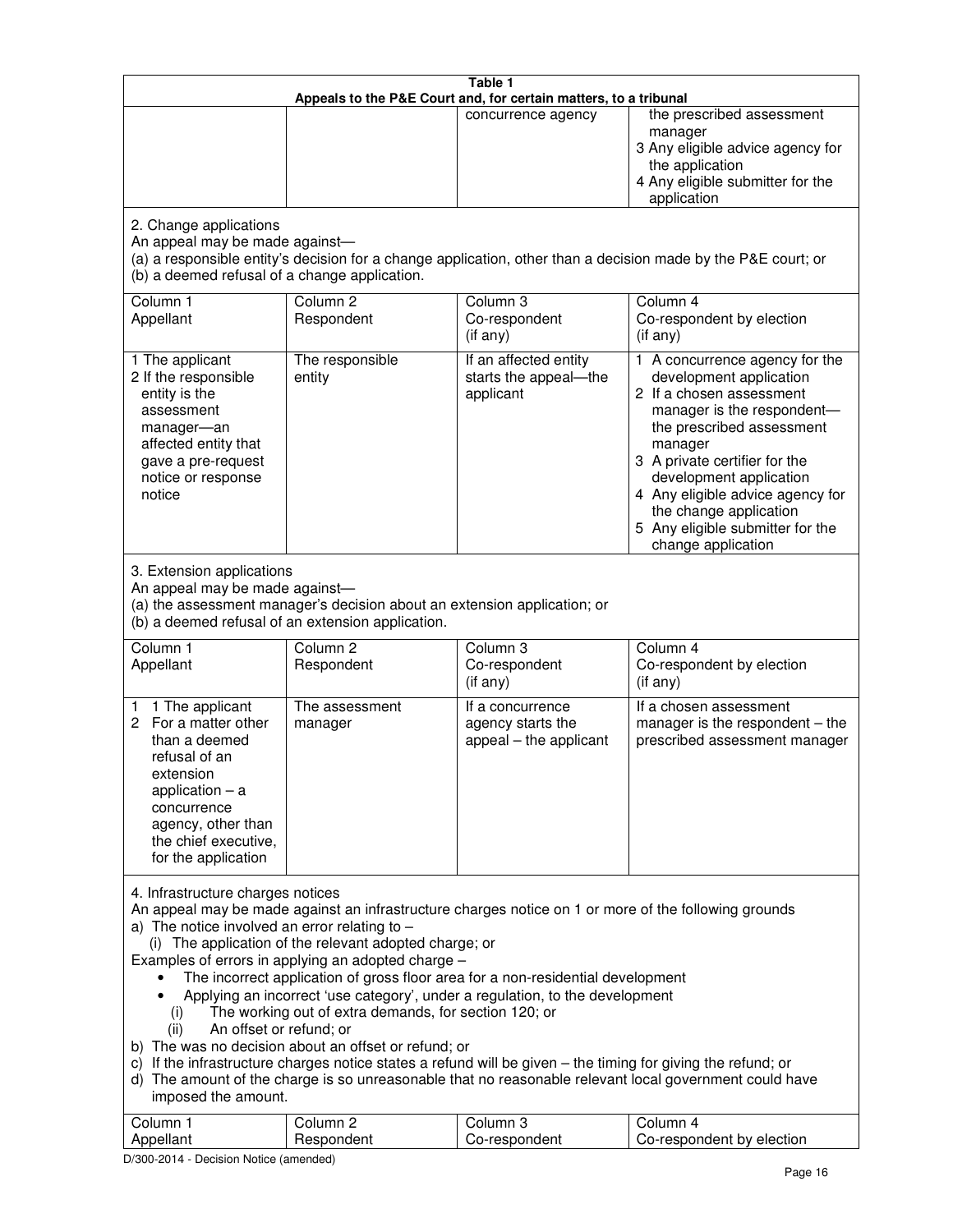| Table 1<br>Appeals to the P&E Court and, for certain matters, to a tribunal                                                                                                                                                                                                                                                                                                                                                                                                                                                                                                                                                                                                                                                                                                                                                                                                                                                                                       |                                   |                                                                 |                                                                                                                                                                                                                                                                                                                                                 |
|-------------------------------------------------------------------------------------------------------------------------------------------------------------------------------------------------------------------------------------------------------------------------------------------------------------------------------------------------------------------------------------------------------------------------------------------------------------------------------------------------------------------------------------------------------------------------------------------------------------------------------------------------------------------------------------------------------------------------------------------------------------------------------------------------------------------------------------------------------------------------------------------------------------------------------------------------------------------|-----------------------------------|-----------------------------------------------------------------|-------------------------------------------------------------------------------------------------------------------------------------------------------------------------------------------------------------------------------------------------------------------------------------------------------------------------------------------------|
|                                                                                                                                                                                                                                                                                                                                                                                                                                                                                                                                                                                                                                                                                                                                                                                                                                                                                                                                                                   |                                   | concurrence agency                                              | the prescribed assessment<br>manager<br>3 Any eligible advice agency for<br>the application<br>4 Any eligible submitter for the<br>application                                                                                                                                                                                                  |
| 2. Change applications<br>An appeal may be made against-<br>(a) a responsible entity's decision for a change application, other than a decision made by the P&E court; or<br>(b) a deemed refusal of a change application.                                                                                                                                                                                                                                                                                                                                                                                                                                                                                                                                                                                                                                                                                                                                        |                                   |                                                                 |                                                                                                                                                                                                                                                                                                                                                 |
| Column <sub>1</sub><br>Appellant                                                                                                                                                                                                                                                                                                                                                                                                                                                                                                                                                                                                                                                                                                                                                                                                                                                                                                                                  | Column <sub>2</sub><br>Respondent | Column <sub>3</sub><br>Co-respondent<br>(if any)                | Column 4<br>Co-respondent by election<br>(if any)                                                                                                                                                                                                                                                                                               |
| 1 The applicant<br>2 If the responsible<br>entity is the<br>assessment<br>manager-an<br>affected entity that<br>gave a pre-request<br>notice or response<br>notice                                                                                                                                                                                                                                                                                                                                                                                                                                                                                                                                                                                                                                                                                                                                                                                                | The responsible<br>entity         | If an affected entity<br>starts the appeal-the<br>applicant     | 1 A concurrence agency for the<br>development application<br>2 If a chosen assessment<br>manager is the respondent-<br>the prescribed assessment<br>manager<br>3 A private certifier for the<br>development application<br>4 Any eligible advice agency for<br>the change application<br>5 Any eligible submitter for the<br>change application |
| 3. Extension applications<br>An appeal may be made against-<br>(a) the assessment manager's decision about an extension application; or<br>(b) a deemed refusal of an extension application.                                                                                                                                                                                                                                                                                                                                                                                                                                                                                                                                                                                                                                                                                                                                                                      |                                   |                                                                 |                                                                                                                                                                                                                                                                                                                                                 |
| Column <sub>1</sub><br>Appellant                                                                                                                                                                                                                                                                                                                                                                                                                                                                                                                                                                                                                                                                                                                                                                                                                                                                                                                                  | Column <sub>2</sub><br>Respondent | Column 3<br>Co-respondent<br>(if any)                           | Column 4<br>Co-respondent by election<br>(if any)                                                                                                                                                                                                                                                                                               |
| 1 The applicant<br>1<br>2 For a matter other<br>than a deemed<br>refusal of an<br>extension<br>application $-$ a<br>concurrence<br>agency, other than<br>the chief executive,<br>for the application                                                                                                                                                                                                                                                                                                                                                                                                                                                                                                                                                                                                                                                                                                                                                              | The assessment<br>manager         | If a concurrence<br>agency starts the<br>appeal – the applicant | If a chosen assessment<br>manager is the respondent - the<br>prescribed assessment manager                                                                                                                                                                                                                                                      |
| 4. Infrastructure charges notices<br>An appeal may be made against an infrastructure charges notice on 1 or more of the following grounds<br>a) The notice involved an error relating to $-$<br>(i) The application of the relevant adopted charge; or<br>Examples of errors in applying an adopted charge -<br>The incorrect application of gross floor area for a non-residential development<br>Applying an incorrect 'use category', under a regulation, to the development<br>The working out of extra demands, for section 120; or<br>(i)<br>An offset or refund; or<br>(ii)<br>b) The was no decision about an offset or refund; or<br>c) If the infrastructure charges notice states a refund will be given – the timing for giving the refund; or<br>d) The amount of the charge is so unreasonable that no reasonable relevant local government could have<br>imposed the amount.<br>Column <sub>2</sub><br>Column <sub>3</sub><br>Column 1<br>Column 4 |                                   |                                                                 |                                                                                                                                                                                                                                                                                                                                                 |
| Appellant                                                                                                                                                                                                                                                                                                                                                                                                                                                                                                                                                                                                                                                                                                                                                                                                                                                                                                                                                         | Respondent                        | Co-respondent                                                   | Co-respondent by election                                                                                                                                                                                                                                                                                                                       |

D/300-2014 - Decision Notice (amended)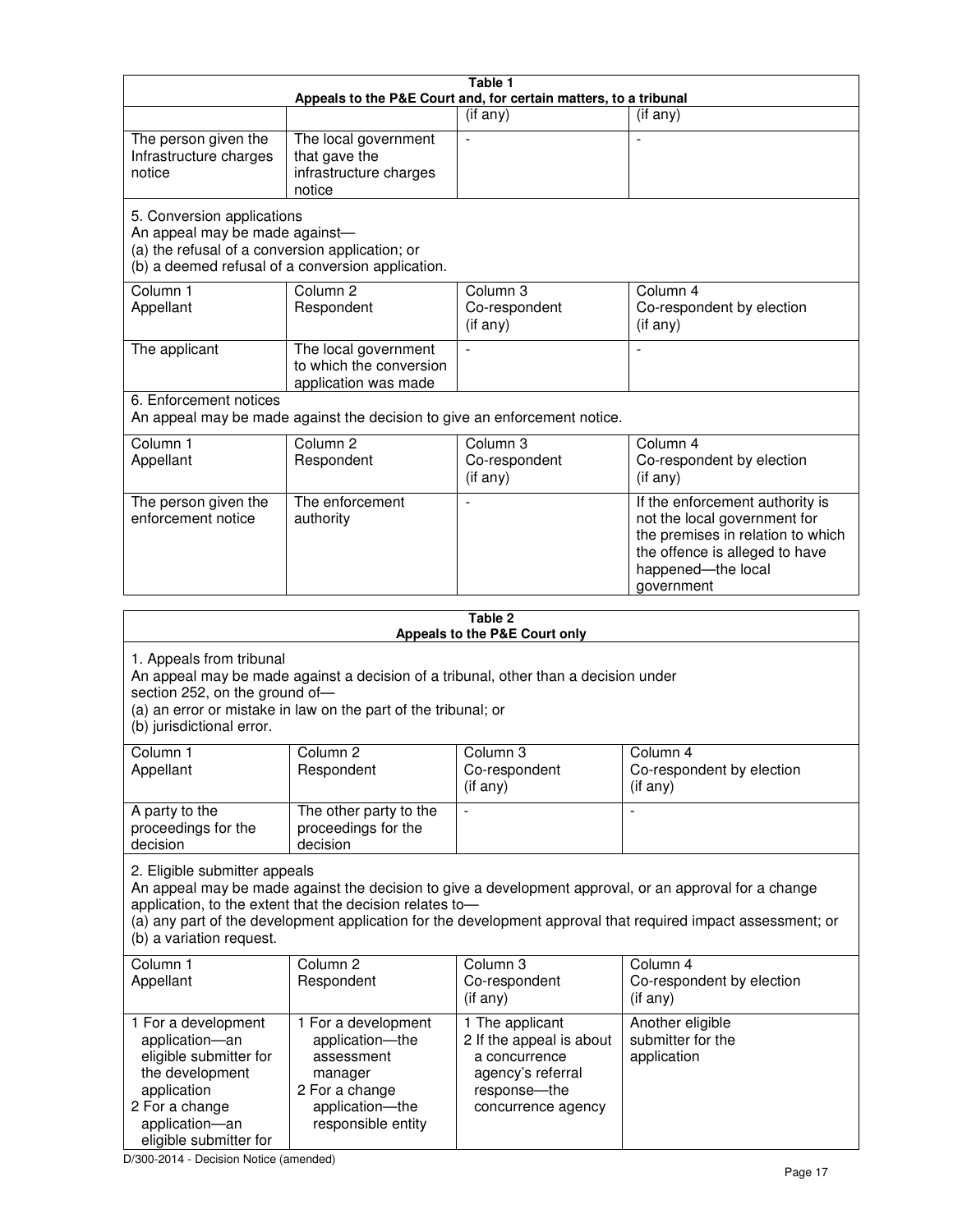| Table 1<br>Appeals to the P&E Court and, for certain matters, to a tribunal                                                                                                                                                                                                                                                                     |                                                                                                                            |                                                                                                                         |                                                                                                                                                                            |
|-------------------------------------------------------------------------------------------------------------------------------------------------------------------------------------------------------------------------------------------------------------------------------------------------------------------------------------------------|----------------------------------------------------------------------------------------------------------------------------|-------------------------------------------------------------------------------------------------------------------------|----------------------------------------------------------------------------------------------------------------------------------------------------------------------------|
|                                                                                                                                                                                                                                                                                                                                                 |                                                                                                                            | (if any)                                                                                                                | $($ if any $)$                                                                                                                                                             |
| The person given the<br>Infrastructure charges<br>notice                                                                                                                                                                                                                                                                                        | The local government<br>that gave the<br>infrastructure charges<br>notice                                                  |                                                                                                                         |                                                                                                                                                                            |
| 5. Conversion applications<br>An appeal may be made against-<br>(a) the refusal of a conversion application; or                                                                                                                                                                                                                                 | (b) a deemed refusal of a conversion application.                                                                          |                                                                                                                         |                                                                                                                                                                            |
| Column 1<br>Appellant                                                                                                                                                                                                                                                                                                                           | Column <sub>2</sub><br>Respondent                                                                                          | Column 3<br>Co-respondent<br>(if any)                                                                                   | Column 4<br>Co-respondent by election<br>(if any)                                                                                                                          |
| The applicant                                                                                                                                                                                                                                                                                                                                   | The local government<br>to which the conversion<br>application was made                                                    |                                                                                                                         | $\blacksquare$                                                                                                                                                             |
| 6. Enforcement notices                                                                                                                                                                                                                                                                                                                          |                                                                                                                            | An appeal may be made against the decision to give an enforcement notice.                                               |                                                                                                                                                                            |
| Column 1<br>Appellant                                                                                                                                                                                                                                                                                                                           | Column <sub>2</sub><br>Respondent                                                                                          | Column 3<br>Co-respondent<br>(if any)                                                                                   | Column 4<br>Co-respondent by election<br>(if any)                                                                                                                          |
| The person given the<br>enforcement notice                                                                                                                                                                                                                                                                                                      | The enforcement<br>authority                                                                                               |                                                                                                                         | If the enforcement authority is<br>not the local government for<br>the premises in relation to which<br>the offence is alleged to have<br>happened-the local<br>government |
|                                                                                                                                                                                                                                                                                                                                                 |                                                                                                                            | Table 2<br>Appeals to the P&E Court only                                                                                |                                                                                                                                                                            |
| 1. Appeals from tribunal<br>An appeal may be made against a decision of a tribunal, other than a decision under<br>section 252, on the ground of-<br>(a) an error or mistake in law on the part of the tribunal; or<br>(b) jurisdictional error.                                                                                                |                                                                                                                            |                                                                                                                         |                                                                                                                                                                            |
| Column 1<br>Appellant                                                                                                                                                                                                                                                                                                                           | Column 2<br>Respondent                                                                                                     | Column 3<br>Co-respondent<br>(if any)                                                                                   | Column 4<br>Co-respondent by election<br>$($ if any $)$                                                                                                                    |
| A party to the<br>proceedings for the<br>decision                                                                                                                                                                                                                                                                                               | The other party to the<br>proceedings for the<br>decision                                                                  |                                                                                                                         |                                                                                                                                                                            |
| 2. Eligible submitter appeals<br>An appeal may be made against the decision to give a development approval, or an approval for a change<br>application, to the extent that the decision relates to-<br>(a) any part of the development application for the development approval that required impact assessment; or<br>(b) a variation request. |                                                                                                                            |                                                                                                                         |                                                                                                                                                                            |
| Column <sub>1</sub><br>Appellant                                                                                                                                                                                                                                                                                                                | Column <sub>2</sub><br>Respondent                                                                                          | Column 3<br>Co-respondent<br>(if any)                                                                                   | Column 4<br>Co-respondent by election<br>(if any)                                                                                                                          |
| 1 For a development<br>application-an<br>eligible submitter for<br>the development<br>application<br>2 For a change<br>application-an                                                                                                                                                                                                           | 1 For a development<br>application-the<br>assessment<br>manager<br>2 For a change<br>application-the<br>responsible entity | 1 The applicant<br>2 If the appeal is about<br>a concurrence<br>agency's referral<br>response-the<br>concurrence agency | Another eligible<br>submitter for the<br>application                                                                                                                       |

D/300-2014 - Decision Notice (amended)

eligible submitter for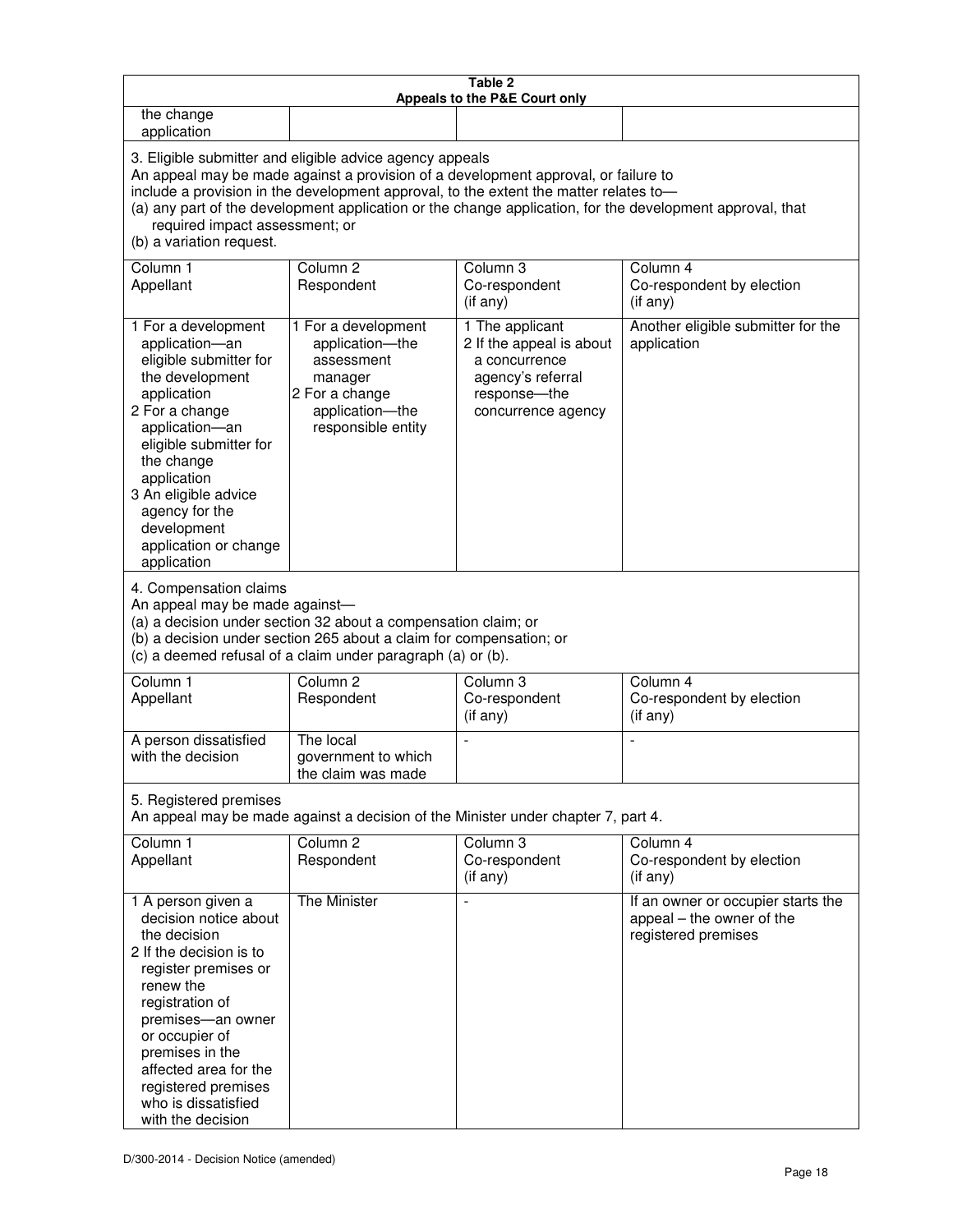| Table 2<br>Appeals to the P&E Court only                                                                                                                                                                                                                                                                                                                                                                           |                                                                                                                            |                                                                                                                         |                                                                                        |
|--------------------------------------------------------------------------------------------------------------------------------------------------------------------------------------------------------------------------------------------------------------------------------------------------------------------------------------------------------------------------------------------------------------------|----------------------------------------------------------------------------------------------------------------------------|-------------------------------------------------------------------------------------------------------------------------|----------------------------------------------------------------------------------------|
| the change<br>application                                                                                                                                                                                                                                                                                                                                                                                          |                                                                                                                            |                                                                                                                         |                                                                                        |
| 3. Eligible submitter and eligible advice agency appeals<br>An appeal may be made against a provision of a development approval, or failure to<br>include a provision in the development approval, to the extent the matter relates to-<br>(a) any part of the development application or the change application, for the development approval, that<br>required impact assessment; or<br>(b) a variation request. |                                                                                                                            |                                                                                                                         |                                                                                        |
| Column 1<br>Appellant                                                                                                                                                                                                                                                                                                                                                                                              | Column <sub>2</sub><br>Respondent                                                                                          | Column 3<br>Co-respondent<br>(if any)                                                                                   | Column 4<br>Co-respondent by election<br>(if any)                                      |
| 1 For a development<br>application-an<br>eligible submitter for<br>the development<br>application<br>2 For a change<br>application-an<br>eligible submitter for<br>the change<br>application<br>3 An eligible advice<br>agency for the<br>development<br>application or change<br>application                                                                                                                      | 1 For a development<br>application-the<br>assessment<br>manager<br>2 For a change<br>application-the<br>responsible entity | 1 The applicant<br>2 If the appeal is about<br>a concurrence<br>agency's referral<br>response-the<br>concurrence agency | Another eligible submitter for the<br>application                                      |
| 4. Compensation claims<br>An appeal may be made against-<br>(a) a decision under section 32 about a compensation claim; or<br>(b) a decision under section 265 about a claim for compensation; or<br>(c) a deemed refusal of a claim under paragraph (a) or (b).                                                                                                                                                   |                                                                                                                            |                                                                                                                         |                                                                                        |
| Column <sub>1</sub><br>Appellant                                                                                                                                                                                                                                                                                                                                                                                   | Column <sub>2</sub><br>Respondent                                                                                          | Column 3<br>Co-respondent<br>(if any)                                                                                   | Column 4<br>Co-respondent by election<br>(if any)                                      |
| A person dissatisfied<br>with the decision                                                                                                                                                                                                                                                                                                                                                                         | The local<br>government to which<br>the claim was made                                                                     |                                                                                                                         |                                                                                        |
| 5. Registered premises<br>An appeal may be made against a decision of the Minister under chapter 7, part 4.                                                                                                                                                                                                                                                                                                        |                                                                                                                            |                                                                                                                         |                                                                                        |
| Column 1<br>Appellant                                                                                                                                                                                                                                                                                                                                                                                              | Column <sub>2</sub><br>Respondent                                                                                          | Column <sub>3</sub><br>Co-respondent<br>(if any)                                                                        | Column 4<br>Co-respondent by election<br>(if any)                                      |
| 1 A person given a<br>decision notice about<br>the decision<br>2 If the decision is to<br>register premises or<br>renew the<br>registration of<br>premises-an owner<br>or occupier of<br>premises in the<br>affected area for the<br>registered premises<br>who is dissatisfied<br>with the decision                                                                                                               | The Minister                                                                                                               | $\blacksquare$                                                                                                          | If an owner or occupier starts the<br>appeal – the owner of the<br>registered premises |